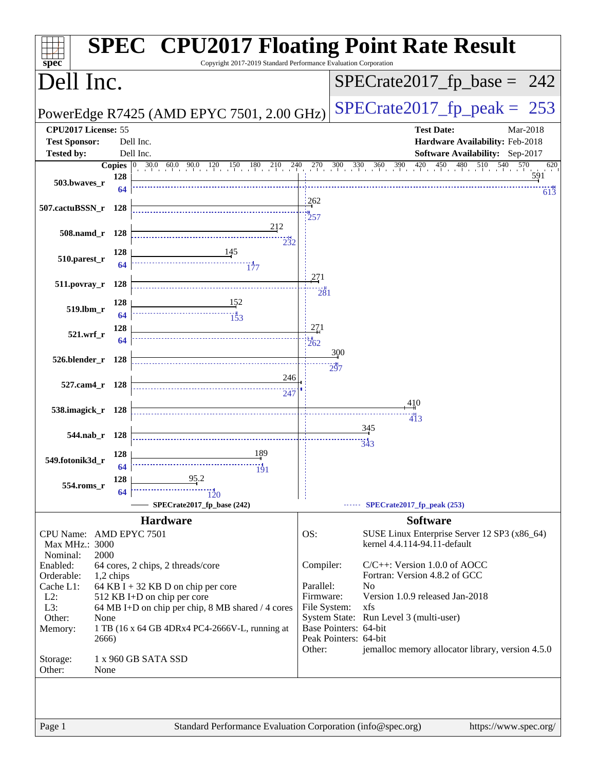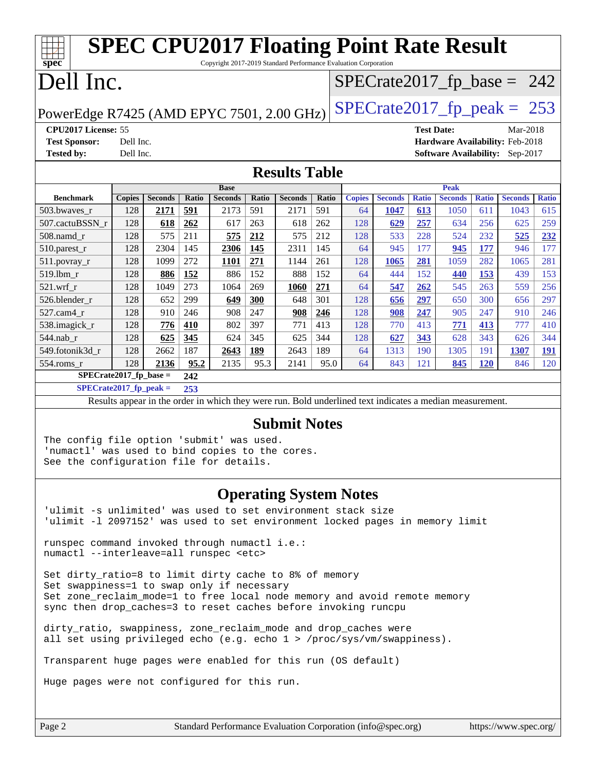| <b>SPEC CPU2017 Floating Point Rate Result</b>                             |               |                |       |                |       |                |       |                               |                |              |                |              |                                        |              |
|----------------------------------------------------------------------------|---------------|----------------|-------|----------------|-------|----------------|-------|-------------------------------|----------------|--------------|----------------|--------------|----------------------------------------|--------------|
| spec<br>Copyright 2017-2019 Standard Performance Evaluation Corporation    |               |                |       |                |       |                |       |                               |                |              |                |              |                                        |              |
| Dell Inc.                                                                  |               |                |       |                |       |                |       | $SPECrate2017_fp\_base = 242$ |                |              |                |              |                                        |              |
| $SPECTate2017$ _fp_peak = 253<br>PowerEdge R7425 (AMD EPYC 7501, 2.00 GHz) |               |                |       |                |       |                |       |                               |                |              |                |              |                                        |              |
| CPU2017 License: 55<br>Mar-2018<br><b>Test Date:</b>                       |               |                |       |                |       |                |       |                               |                |              |                |              |                                        |              |
| <b>Test Sponsor:</b><br>Hardware Availability: Feb-2018<br>Dell Inc.       |               |                |       |                |       |                |       |                               |                |              |                |              |                                        |              |
| <b>Tested by:</b>                                                          | Dell Inc.     |                |       |                |       |                |       |                               |                |              |                |              | <b>Software Availability:</b> Sep-2017 |              |
| <b>Results Table</b>                                                       |               |                |       |                |       |                |       |                               |                |              |                |              |                                        |              |
|                                                                            |               |                |       | <b>Base</b>    |       |                |       |                               |                |              | <b>Peak</b>    |              |                                        |              |
| <b>Benchmark</b>                                                           | <b>Copies</b> | <b>Seconds</b> | Ratio | <b>Seconds</b> | Ratio | <b>Seconds</b> | Ratio | <b>Copies</b>                 | <b>Seconds</b> | <b>Ratio</b> | <b>Seconds</b> | <b>Ratio</b> | <b>Seconds</b>                         | <b>Ratio</b> |
| 503.bwaves_r                                                               | 128           | 2171           | 591   | 2173           | 591   | 2171           | 591   | 64                            | 1047           | 613          | 1050           | 611          | 1043                                   | 615          |
| 507.cactuBSSN r                                                            | 128           | 618            | 262   | 617            | 263   | 618            | 262   | 128                           | 629            | 257          | 634            | 256          | 625                                    | 259          |
| 508.namd r                                                                 | 128           | 575            | 211   | 575            | 212   | 575            | 212   | 128                           | 533            | 228          | 524            | 232          | 525                                    | 232          |
| 510.parest_r                                                               | 128           | 2304           | 145   | 2306           | 145   | 2311           | 145   | 64                            | 945            | 177          | 945            | 177          | 946                                    | 177          |
| $511.$ povray_r                                                            | 128           | 1099           | 272   | 1101           | 271   | 1144           | 261   | 128                           | 1065           | 281          | 1059           | 282          | 1065                                   | 281          |
| 519.lbm r                                                                  | 128           | 886            | 152   | 886            | 152   | 888            | 152   | 64                            | 444            | 152          | 440            | 153          | 439                                    | 153          |
| $521$ .wrf r                                                               | 128           | 1049           | 273   | 1064           | 269   | 1060           | 271   | 64                            | 547            | 262          | 545            | 263          | 559                                    | 256          |
| 526.blender r                                                              | 128           | 652            | 299   | 649            | 300   | 648            | 301   | 128                           | 656            | 297          | 650            | 300          | 656                                    | 297          |
| 527.cam4 r                                                                 | 128           | 910            | 246   | 908            | 247   | 908            | 246   | 128                           | 908            | 247          | 905            | 247          | 910                                    | 246          |
| 538.imagick_r                                                              | 128           | 776            | 410   | 802            | 397   | 771            | 413   | 128                           | 770            | 413          | 771            | 413          | 777                                    | 410          |
| 544.nab_r                                                                  | 128           | 625            | 345   | 624            | 345   | 625            | 344   | 128                           | 627            | 343          | 628            | 343          | 626                                    | 344          |
| 549.fotonik3d r                                                            | 128           | 2662           | 187   | 2643           | 189   | 2643           | 189   | 64                            | 1313           | 190          | 1305           | 191          | 1307                                   | 191          |
| 554.roms r                                                                 | 128           | 2136           | 95.2  | 2135           | 95.3  | 2141           | 95.0  | 64                            | 843            | 121          | 845            | 120          | 846                                    | 120          |
| $SPECrate2017_fp\_base =$<br>242                                           |               |                |       |                |       |                |       |                               |                |              |                |              |                                        |              |
| $SPECrate2017_fp\_peak =$                                                  |               |                | 253   |                |       |                |       |                               |                |              |                |              |                                        |              |

Results appear in the [order in which they were run.](http://www.spec.org/auto/cpu2017/Docs/result-fields.html#RunOrder) Bold underlined text [indicates a median measurement.](http://www.spec.org/auto/cpu2017/Docs/result-fields.html#Median)

#### **[Submit Notes](http://www.spec.org/auto/cpu2017/Docs/result-fields.html#SubmitNotes)**

The config file option 'submit' was used. 'numactl' was used to bind copies to the cores. See the configuration file for details.

#### **[Operating System Notes](http://www.spec.org/auto/cpu2017/Docs/result-fields.html#OperatingSystemNotes)**

'ulimit -s unlimited' was used to set environment stack size 'ulimit -l 2097152' was used to set environment locked pages in memory limit

runspec command invoked through numactl i.e.: numactl --interleave=all runspec <etc>

Set dirty\_ratio=8 to limit dirty cache to 8% of memory Set swappiness=1 to swap only if necessary Set zone\_reclaim\_mode=1 to free local node memory and avoid remote memory sync then drop\_caches=3 to reset caches before invoking runcpu

dirty\_ratio, swappiness, zone\_reclaim\_mode and drop\_caches were all set using privileged echo (e.g. echo 1 > /proc/sys/vm/swappiness).

Transparent huge pages were enabled for this run (OS default)

Huge pages were not configured for this run.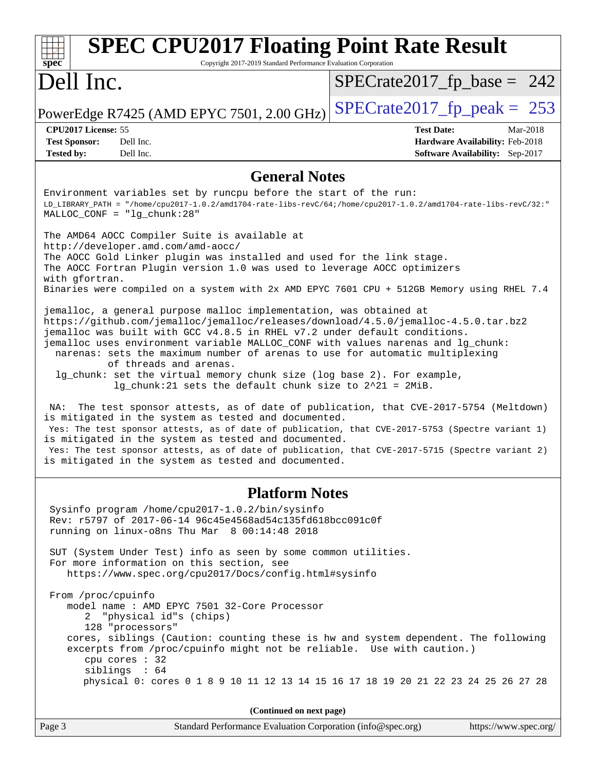| <b>SPEC CPU2017 Floating Point Rate Result</b><br>Spec<br>Copyright 2017-2019 Standard Performance Evaluation Corporation                                                                                                                                                                                                                                                                                                                                                                                                                                                                                                                                                                                                                                                                                                                                                                                                                                                                                                                                                                                                                                                                                                                                                                                                                                                                                                                                                                           |                                                                                                     |  |  |  |  |
|-----------------------------------------------------------------------------------------------------------------------------------------------------------------------------------------------------------------------------------------------------------------------------------------------------------------------------------------------------------------------------------------------------------------------------------------------------------------------------------------------------------------------------------------------------------------------------------------------------------------------------------------------------------------------------------------------------------------------------------------------------------------------------------------------------------------------------------------------------------------------------------------------------------------------------------------------------------------------------------------------------------------------------------------------------------------------------------------------------------------------------------------------------------------------------------------------------------------------------------------------------------------------------------------------------------------------------------------------------------------------------------------------------------------------------------------------------------------------------------------------------|-----------------------------------------------------------------------------------------------------|--|--|--|--|
| Dell Inc.                                                                                                                                                                                                                                                                                                                                                                                                                                                                                                                                                                                                                                                                                                                                                                                                                                                                                                                                                                                                                                                                                                                                                                                                                                                                                                                                                                                                                                                                                           | $SPECrate2017_fp\_base = 242$                                                                       |  |  |  |  |
| PowerEdge R7425 (AMD EPYC 7501, 2.00 GHz)                                                                                                                                                                                                                                                                                                                                                                                                                                                                                                                                                                                                                                                                                                                                                                                                                                                                                                                                                                                                                                                                                                                                                                                                                                                                                                                                                                                                                                                           | $SPECrate2017_fp\_peak = 253$                                                                       |  |  |  |  |
| CPU2017 License: 55<br><b>Test Sponsor:</b><br>Dell Inc.<br><b>Tested by:</b><br>Dell Inc.                                                                                                                                                                                                                                                                                                                                                                                                                                                                                                                                                                                                                                                                                                                                                                                                                                                                                                                                                                                                                                                                                                                                                                                                                                                                                                                                                                                                          | <b>Test Date:</b><br>Mar-2018<br>Hardware Availability: Feb-2018<br>Software Availability: Sep-2017 |  |  |  |  |
|                                                                                                                                                                                                                                                                                                                                                                                                                                                                                                                                                                                                                                                                                                                                                                                                                                                                                                                                                                                                                                                                                                                                                                                                                                                                                                                                                                                                                                                                                                     |                                                                                                     |  |  |  |  |
| <b>General Notes</b><br>Environment variables set by runcpu before the start of the run:<br>$MALLOC$ $CONF = "lg_chunk:28"$<br>The AMD64 AOCC Compiler Suite is available at<br>http://developer.amd.com/amd-aocc/<br>The AOCC Gold Linker plugin was installed and used for the link stage.<br>The AOCC Fortran Plugin version 1.0 was used to leverage AOCC optimizers<br>with gfortran.<br>Binaries were compiled on a system with 2x AMD EPYC 7601 CPU + 512GB Memory using RHEL 7.4<br>jemalloc, a general purpose malloc implementation, was obtained at<br>https://github.com/jemalloc/jemalloc/releases/download/4.5.0/jemalloc-4.5.0.tar.bz2<br>jemalloc was built with GCC v4.8.5 in RHEL v7.2 under default conditions.<br>jemalloc uses environment variable MALLOC_CONF with values narenas and lg_chunk:<br>narenas: sets the maximum number of arenas to use for automatic multiplexing<br>of threads and arenas.<br>lg_chunk: set the virtual memory chunk size (log base 2). For example,<br>$lg_c$ chunk: 21 sets the default chunk size to $2^2$ 21 = 2MiB.<br>The test sponsor attests, as of date of publication, that CVE-2017-5754 (Meltdown)<br>NA:<br>is mitigated in the system as tested and documented.<br>Yes: The test sponsor attests, as of date of publication, that CVE-2017-5753 (Spectre variant 1)<br>is mitigated in the system as tested and documented.<br>Yes: The test sponsor attests, as of date of publication, that CVE-2017-5715 (Spectre variant 2) |                                                                                                     |  |  |  |  |
|                                                                                                                                                                                                                                                                                                                                                                                                                                                                                                                                                                                                                                                                                                                                                                                                                                                                                                                                                                                                                                                                                                                                                                                                                                                                                                                                                                                                                                                                                                     |                                                                                                     |  |  |  |  |
| <b>Platform Notes</b>                                                                                                                                                                                                                                                                                                                                                                                                                                                                                                                                                                                                                                                                                                                                                                                                                                                                                                                                                                                                                                                                                                                                                                                                                                                                                                                                                                                                                                                                               |                                                                                                     |  |  |  |  |
| Sysinfo program /home/cpu2017-1.0.2/bin/sysinfo<br>Rev: r5797 of 2017-06-14 96c45e4568ad54c135fd618bcc091c0f<br>running on linux-o8ns Thu Mar 8 00:14:48 2018                                                                                                                                                                                                                                                                                                                                                                                                                                                                                                                                                                                                                                                                                                                                                                                                                                                                                                                                                                                                                                                                                                                                                                                                                                                                                                                                       |                                                                                                     |  |  |  |  |
| SUT (System Under Test) info as seen by some common utilities.<br>For more information on this section, see<br>https://www.spec.org/cpu2017/Docs/config.html#sysinfo                                                                                                                                                                                                                                                                                                                                                                                                                                                                                                                                                                                                                                                                                                                                                                                                                                                                                                                                                                                                                                                                                                                                                                                                                                                                                                                                |                                                                                                     |  |  |  |  |
| From /proc/cpuinfo<br>model name : AMD EPYC 7501 32-Core Processor<br>2 "physical id"s (chips)<br>128 "processors"<br>cores, siblings (Caution: counting these is hw and system dependent. The following<br>excerpts from /proc/cpuinfo might not be reliable. Use with caution.)<br>cpu cores : 32<br>siblings : 64                                                                                                                                                                                                                                                                                                                                                                                                                                                                                                                                                                                                                                                                                                                                                                                                                                                                                                                                                                                                                                                                                                                                                                                |                                                                                                     |  |  |  |  |
| physical 0: cores 0 1 8 9 10 11 12 13 14 15 16 17 18 19 20 21 22 23 24 25 26 27 28                                                                                                                                                                                                                                                                                                                                                                                                                                                                                                                                                                                                                                                                                                                                                                                                                                                                                                                                                                                                                                                                                                                                                                                                                                                                                                                                                                                                                  |                                                                                                     |  |  |  |  |
| (Continued on next page)                                                                                                                                                                                                                                                                                                                                                                                                                                                                                                                                                                                                                                                                                                                                                                                                                                                                                                                                                                                                                                                                                                                                                                                                                                                                                                                                                                                                                                                                            |                                                                                                     |  |  |  |  |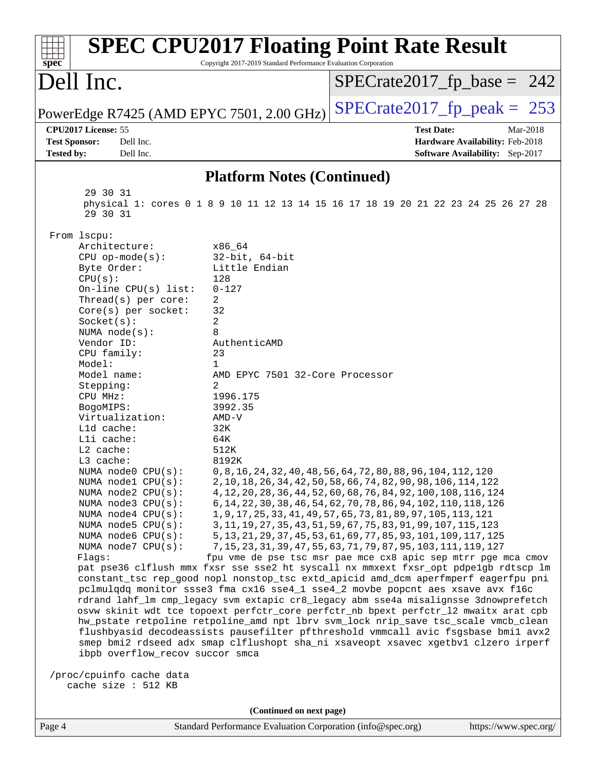| <b>SPEC CPU2017 Floating Point Rate Result</b><br>Copyright 2017-2019 Standard Performance Evaluation Corporation                                                                                                                                                                                                                                                                                                                                                                                                                                                                                                                                                                                                                                                                                                                                                                                                                                                                                                                                                                                                                                                                                                                                                                                                                                                                                                                                                                                                                                                                                      |                                                                                                                                                                                                                                                                                                                                                                                                                                                                                                                                                                                                                                 |  |  |  |  |
|--------------------------------------------------------------------------------------------------------------------------------------------------------------------------------------------------------------------------------------------------------------------------------------------------------------------------------------------------------------------------------------------------------------------------------------------------------------------------------------------------------------------------------------------------------------------------------------------------------------------------------------------------------------------------------------------------------------------------------------------------------------------------------------------------------------------------------------------------------------------------------------------------------------------------------------------------------------------------------------------------------------------------------------------------------------------------------------------------------------------------------------------------------------------------------------------------------------------------------------------------------------------------------------------------------------------------------------------------------------------------------------------------------------------------------------------------------------------------------------------------------------------------------------------------------------------------------------------------------|---------------------------------------------------------------------------------------------------------------------------------------------------------------------------------------------------------------------------------------------------------------------------------------------------------------------------------------------------------------------------------------------------------------------------------------------------------------------------------------------------------------------------------------------------------------------------------------------------------------------------------|--|--|--|--|
| $spec^*$<br>Dell Inc.                                                                                                                                                                                                                                                                                                                                                                                                                                                                                                                                                                                                                                                                                                                                                                                                                                                                                                                                                                                                                                                                                                                                                                                                                                                                                                                                                                                                                                                                                                                                                                                  | $SPECrate2017_fp\_base = 242$                                                                                                                                                                                                                                                                                                                                                                                                                                                                                                                                                                                                   |  |  |  |  |
| PowerEdge R7425 (AMD EPYC 7501, 2.00 GHz)                                                                                                                                                                                                                                                                                                                                                                                                                                                                                                                                                                                                                                                                                                                                                                                                                                                                                                                                                                                                                                                                                                                                                                                                                                                                                                                                                                                                                                                                                                                                                              | $SPECTate2017$ _fp_peak = 253                                                                                                                                                                                                                                                                                                                                                                                                                                                                                                                                                                                                   |  |  |  |  |
| CPU2017 License: 55<br><b>Test Sponsor:</b><br>Dell Inc.<br><b>Tested by:</b><br>Dell Inc.                                                                                                                                                                                                                                                                                                                                                                                                                                                                                                                                                                                                                                                                                                                                                                                                                                                                                                                                                                                                                                                                                                                                                                                                                                                                                                                                                                                                                                                                                                             | <b>Test Date:</b><br>Mar-2018<br>Hardware Availability: Feb-2018<br>Software Availability: Sep-2017                                                                                                                                                                                                                                                                                                                                                                                                                                                                                                                             |  |  |  |  |
| <b>Platform Notes (Continued)</b>                                                                                                                                                                                                                                                                                                                                                                                                                                                                                                                                                                                                                                                                                                                                                                                                                                                                                                                                                                                                                                                                                                                                                                                                                                                                                                                                                                                                                                                                                                                                                                      |                                                                                                                                                                                                                                                                                                                                                                                                                                                                                                                                                                                                                                 |  |  |  |  |
| 29 30 31<br>physical 1: cores 0 1 8 9 10 11 12 13 14 15 16 17 18 19 20 21 22 23 24 25 26 27 28<br>29 30 31                                                                                                                                                                                                                                                                                                                                                                                                                                                                                                                                                                                                                                                                                                                                                                                                                                                                                                                                                                                                                                                                                                                                                                                                                                                                                                                                                                                                                                                                                             |                                                                                                                                                                                                                                                                                                                                                                                                                                                                                                                                                                                                                                 |  |  |  |  |
| From lscpu:<br>Architecture:<br>x86_64<br>$CPU$ op-mode( $s$ ):<br>$32$ -bit, $64$ -bit<br>Byte Order:<br>Little Endian<br>CPU(s):<br>128<br>On-line CPU(s) list:<br>$0 - 127$<br>2<br>Thread( $s$ ) per core:<br>32<br>Core(s) per socket:<br>2<br>Socket(s):<br>8<br>NUMA $node(s):$<br>Vendor ID:<br>AuthenticAMD<br>CPU family:<br>23<br>Model:<br>1<br>Model name:<br>AMD EPYC 7501 32-Core Processor<br>2<br>Stepping:<br>1996.175<br>CPU MHz:<br>BogoMIPS:<br>3992.35<br>Virtualization:<br>$AMD-V$<br>L1d cache:<br>32K<br>Lli cache:<br>64K<br>L2 cache:<br>512K<br>L3 cache:<br>8192K<br>NUMA $node0$ $CPU(s):$<br>NUMA nodel CPU(s):<br>NUMA node2 CPU(s):<br>NUMA node3 CPU(s):<br>NUMA $node4$ $CPU(s):$<br>NUMA node5 CPU(s):<br>NUMA node6 CPU(s):<br>NUMA node7 CPU(s):<br>Flaqs:<br>pat pse36 clflush mmx fxsr sse sse2 ht syscall nx mmxext fxsr_opt pdpelgb rdtscp lm<br>constant_tsc rep_good nopl nonstop_tsc extd_apicid amd_dcm aperfmperf eagerfpu pni<br>pclmulqdq monitor ssse3 fma cx16 sse4_1 sse4_2 movbe popcnt aes xsave avx f16c<br>rdrand lahf_lm cmp_legacy svm extapic cr8_legacy abm sse4a misalignsse 3dnowprefetch<br>osvw skinit wdt tce topoext perfctr_core perfctr_nb bpext perfctr_12 mwaitx arat cpb<br>hw_pstate retpoline retpoline_amd npt lbrv svm_lock nrip_save tsc_scale vmcb_clean<br>flushbyasid decodeassists pausefilter pfthreshold vmmcall avic fsgsbase bmil avx2<br>smep bmi2 rdseed adx smap clflushopt sha_ni xsaveopt xsavec xgetbvl clzero irperf<br>ibpb overflow_recov succor smca<br>/proc/cpuinfo cache data<br>cache size : 512 KB | 0, 8, 16, 24, 32, 40, 48, 56, 64, 72, 80, 88, 96, 104, 112, 120<br>2, 10, 18, 26, 34, 42, 50, 58, 66, 74, 82, 90, 98, 106, 114, 122<br>4, 12, 20, 28, 36, 44, 52, 60, 68, 76, 84, 92, 100, 108, 116, 124<br>6, 14, 22, 30, 38, 46, 54, 62, 70, 78, 86, 94, 102, 110, 118, 126<br>1, 9, 17, 25, 33, 41, 49, 57, 65, 73, 81, 89, 97, 105, 113, 121<br>3, 11, 19, 27, 35, 43, 51, 59, 67, 75, 83, 91, 99, 107, 115, 123<br>5, 13, 21, 29, 37, 45, 53, 61, 69, 77, 85, 93, 101, 109, 117, 125<br>7, 15, 23, 31, 39, 47, 55, 63, 71, 79, 87, 95, 103, 111, 119, 127<br>fpu vme de pse tsc msr pae mce cx8 apic sep mtrr pge mca cmov |  |  |  |  |
| (Continued on next page)<br>Standard Performance Evaluation Corporation (info@spec.org)<br>Page 4                                                                                                                                                                                                                                                                                                                                                                                                                                                                                                                                                                                                                                                                                                                                                                                                                                                                                                                                                                                                                                                                                                                                                                                                                                                                                                                                                                                                                                                                                                      | https://www.spec.org/                                                                                                                                                                                                                                                                                                                                                                                                                                                                                                                                                                                                           |  |  |  |  |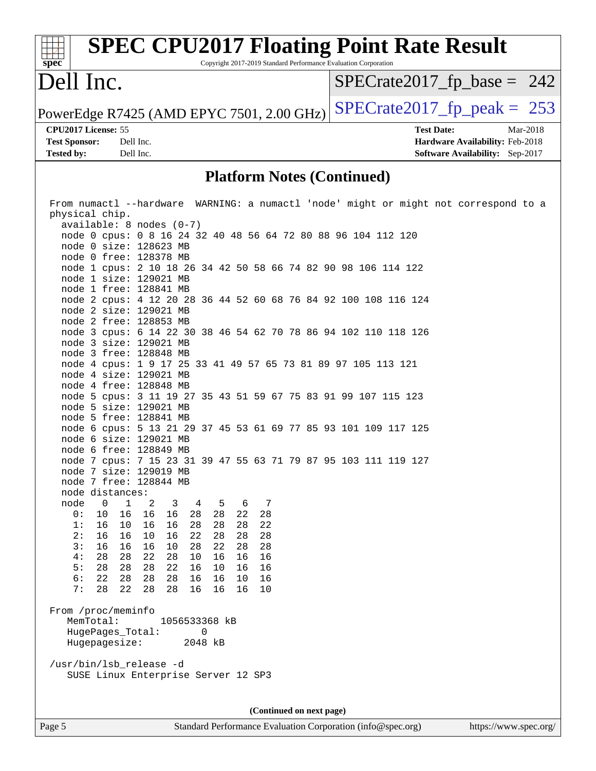#### **[spec](http://www.spec.org/) [SPEC CPU2017 Floating Point Rate Result](http://www.spec.org/auto/cpu2017/Docs/result-fields.html#SPECCPU2017FloatingPointRateResult)** Copyright 2017-2019 Standard Performance Evaluation Corporation Dell Inc. PowerEdge R7425 (AMD EPYC 7501, 2.00 GHz) [SPECrate2017\\_fp\\_peak =](http://www.spec.org/auto/cpu2017/Docs/result-fields.html#SPECrate2017fppeak)  $253$ [SPECrate2017\\_fp\\_base =](http://www.spec.org/auto/cpu2017/Docs/result-fields.html#SPECrate2017fpbase) 242 **[CPU2017 License:](http://www.spec.org/auto/cpu2017/Docs/result-fields.html#CPU2017License)** 55 **[Test Date:](http://www.spec.org/auto/cpu2017/Docs/result-fields.html#TestDate)** Mar-2018

**[Test Sponsor:](http://www.spec.org/auto/cpu2017/Docs/result-fields.html#TestSponsor)** Dell Inc. **[Hardware Availability:](http://www.spec.org/auto/cpu2017/Docs/result-fields.html#HardwareAvailability)** Feb-2018 **[Tested by:](http://www.spec.org/auto/cpu2017/Docs/result-fields.html#Testedby)** Dell Inc. **[Software Availability:](http://www.spec.org/auto/cpu2017/Docs/result-fields.html#SoftwareAvailability)** Sep-2017

#### **[Platform Notes \(Continued\)](http://www.spec.org/auto/cpu2017/Docs/result-fields.html#PlatformNotes)**

| From numactl --hardware WARNING: a numactl 'node' might or might not correspond to a          |  |  |  |  |  |
|-----------------------------------------------------------------------------------------------|--|--|--|--|--|
| physical chip.                                                                                |  |  |  |  |  |
| $available: 8 nodes (0-7)$                                                                    |  |  |  |  |  |
| node 0 cpus: 0 8 16 24 32 40 48 56 64 72 80 88 96 104 112 120                                 |  |  |  |  |  |
| node 0 size: 128623 MB                                                                        |  |  |  |  |  |
| node 0 free: 128378 MB                                                                        |  |  |  |  |  |
| node 1 cpus: 2 10 18 26 34 42 50 58 66 74 82 90 98 106 114 122                                |  |  |  |  |  |
| node 1 size: 129021 MB                                                                        |  |  |  |  |  |
| node 1 free: 128841 MB                                                                        |  |  |  |  |  |
| node 2 cpus: 4 12 20 28 36 44 52 60 68 76 84 92 100 108 116 124                               |  |  |  |  |  |
| node 2 size: 129021 MB                                                                        |  |  |  |  |  |
| node 2 free: 128853 MB                                                                        |  |  |  |  |  |
| node 3 cpus: 6 14 22 30 38 46 54 62 70 78 86 94 102 110 118 126                               |  |  |  |  |  |
| node 3 size: 129021 MB                                                                        |  |  |  |  |  |
| node 3 free: 128848 MB                                                                        |  |  |  |  |  |
| node 4 cpus: 1 9 17 25 33 41 49 57 65 73 81 89 97 105 113 121                                 |  |  |  |  |  |
| node 4 size: 129021 MB                                                                        |  |  |  |  |  |
| node 4 free: 128848 MB                                                                        |  |  |  |  |  |
| node 5 cpus: 3 11 19 27 35 43 51 59 67 75 83 91 99 107 115 123                                |  |  |  |  |  |
| node 5 size: 129021 MB                                                                        |  |  |  |  |  |
| node 5 free: 128841 MB                                                                        |  |  |  |  |  |
| node 6 cpus: 5 13 21 29 37 45 53 61 69 77 85 93 101 109 117 125                               |  |  |  |  |  |
| node 6 size: 129021 MB                                                                        |  |  |  |  |  |
| node 6 free: 128849 MB                                                                        |  |  |  |  |  |
| node 7 cpus: 7 15 23 31 39 47 55 63 71 79 87 95 103 111 119 127                               |  |  |  |  |  |
| node 7 size: 129019 MB                                                                        |  |  |  |  |  |
| node 7 free: 128844 MB                                                                        |  |  |  |  |  |
| node distances:                                                                               |  |  |  |  |  |
| node 0<br>$\mathbf{1}$<br>$\overline{\phantom{a}}^2$<br>$\overline{\mathbf{3}}$<br>4 5<br>6 7 |  |  |  |  |  |
| 22 28<br>0:<br>10<br>16 16<br>16 28 28                                                        |  |  |  |  |  |
| 16<br>1:<br>10<br>16<br>16<br>28<br>28<br>22<br>28                                            |  |  |  |  |  |
| 2:<br>16<br>16<br>28<br>16<br>10<br>22<br>28<br>28                                            |  |  |  |  |  |
| 3:<br>28<br>16<br>16<br>16<br>10<br>28<br>22<br>28                                            |  |  |  |  |  |
| 4:<br>28<br>22<br>28<br>28<br>10<br>16<br>16<br>16                                            |  |  |  |  |  |
| 5:<br>28<br>28<br>22<br>28<br>16<br>10<br>16<br>16                                            |  |  |  |  |  |
| 6:<br>22<br>28 28<br>28<br>16 16<br>10<br>16                                                  |  |  |  |  |  |
| 28<br>7:<br>22<br>28<br>28<br>16<br>16<br>16<br>10                                            |  |  |  |  |  |
|                                                                                               |  |  |  |  |  |
| From /proc/meminfo                                                                            |  |  |  |  |  |
| MemTotal:<br>1056533368 kB                                                                    |  |  |  |  |  |
| HugePages_Total: 0                                                                            |  |  |  |  |  |
| Hugepagesize:<br>2048 kB                                                                      |  |  |  |  |  |
|                                                                                               |  |  |  |  |  |
| /usr/bin/lsb_release -d                                                                       |  |  |  |  |  |
| SUSE Linux Enterprise Server 12 SP3                                                           |  |  |  |  |  |
|                                                                                               |  |  |  |  |  |
|                                                                                               |  |  |  |  |  |
|                                                                                               |  |  |  |  |  |
| (Continued on next page)                                                                      |  |  |  |  |  |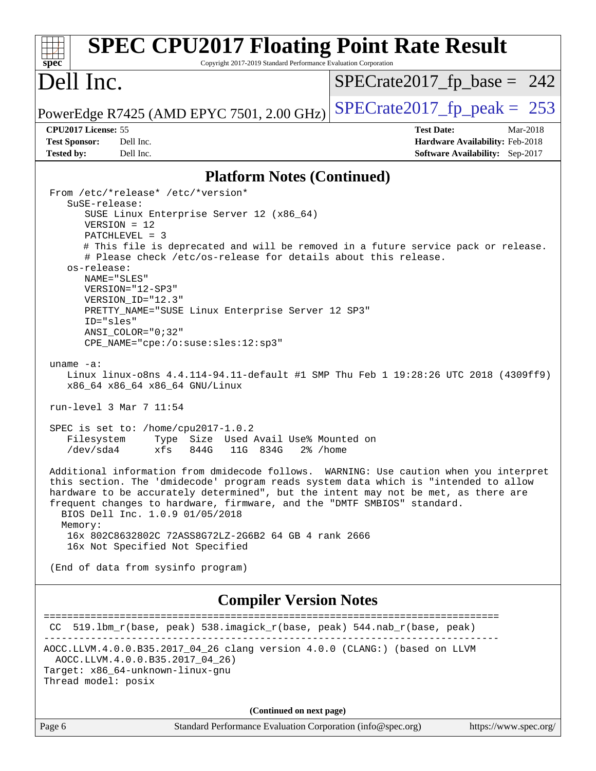| <b>SPEC CPU2017 Floating Point Rate Result</b><br>Copyright 2017-2019 Standard Performance Evaluation Corporation<br>spec                                                                                                                                                                                                                                                         |                                                                                                            |  |  |  |
|-----------------------------------------------------------------------------------------------------------------------------------------------------------------------------------------------------------------------------------------------------------------------------------------------------------------------------------------------------------------------------------|------------------------------------------------------------------------------------------------------------|--|--|--|
| Dell Inc.                                                                                                                                                                                                                                                                                                                                                                         | $SPECrate2017_fp\_base = 242$                                                                              |  |  |  |
| PowerEdge R7425 (AMD EPYC 7501, 2.00 GHz)                                                                                                                                                                                                                                                                                                                                         | $SPECTate2017$ _fp_peak = 253                                                                              |  |  |  |
| CPU2017 License: 55<br><b>Test Sponsor:</b><br>Dell Inc.<br>Dell Inc.<br><b>Tested by:</b>                                                                                                                                                                                                                                                                                        | <b>Test Date:</b><br>Mar-2018<br>Hardware Availability: Feb-2018<br><b>Software Availability:</b> Sep-2017 |  |  |  |
| <b>Platform Notes (Continued)</b>                                                                                                                                                                                                                                                                                                                                                 |                                                                                                            |  |  |  |
| From /etc/*release* /etc/*version*<br>$S$ uSE-release:                                                                                                                                                                                                                                                                                                                            |                                                                                                            |  |  |  |
| SUSE Linux Enterprise Server 12 (x86_64)<br>$VERSION = 12$<br>$PATCHLEVEL = 3$<br># This file is deprecated and will be removed in a future service pack or release.                                                                                                                                                                                                              |                                                                                                            |  |  |  |
| # Please check /etc/os-release for details about this release.<br>os-release:<br>NAME="SLES"                                                                                                                                                                                                                                                                                      |                                                                                                            |  |  |  |
| VERSION="12-SP3"<br>VERSION ID="12.3"<br>PRETTY_NAME="SUSE Linux Enterprise Server 12 SP3"<br>ID="sles"                                                                                                                                                                                                                                                                           |                                                                                                            |  |  |  |
| ANSI COLOR="0;32"<br>CPE_NAME="cpe:/o:suse:sles:12:sp3"                                                                                                                                                                                                                                                                                                                           |                                                                                                            |  |  |  |
| uname $-a$ :<br>Linux linux-o8ns 4.4.114-94.11-default #1 SMP Thu Feb 1 19:28:26 UTC 2018 (4309ff9)<br>x86_64 x86_64 x86_64 GNU/Linux                                                                                                                                                                                                                                             |                                                                                                            |  |  |  |
| run-level $3$ Mar $7$ 11:54                                                                                                                                                                                                                                                                                                                                                       |                                                                                                            |  |  |  |
| SPEC is set to: /home/cpu2017-1.0.2<br>Type Size Used Avail Use% Mounted on<br>Filesystem<br>/dev/sda4<br>xfs<br>844G<br>11G 834G<br>2% /home                                                                                                                                                                                                                                     |                                                                                                            |  |  |  |
| Additional information from dmidecode follows. WARNING: Use caution when you interpret<br>this section. The 'dmidecode' program reads system data which is "intended to allow<br>hardware to be accurately determined", but the intent may not be met, as there are<br>frequent changes to hardware, firmware, and the "DMTF SMBIOS" standard.<br>BIOS Dell Inc. 1.0.9 01/05/2018 |                                                                                                            |  |  |  |
| Memory:<br>16x 802C8632802C 72ASS8G72LZ-2G6B2 64 GB 4 rank 2666<br>16x Not Specified Not Specified                                                                                                                                                                                                                                                                                |                                                                                                            |  |  |  |
| (End of data from sysinfo program)                                                                                                                                                                                                                                                                                                                                                |                                                                                                            |  |  |  |
| <b>Compiler Version Notes</b>                                                                                                                                                                                                                                                                                                                                                     |                                                                                                            |  |  |  |
| CC 519.1bm_r(base, peak) 538.imagick_r(base, peak) 544.nab_r(base, peak)                                                                                                                                                                                                                                                                                                          |                                                                                                            |  |  |  |
| AOCC.LLVM.4.0.0.B35.2017_04_26 clang version 4.0.0 (CLANG:) (based on LLVM<br>AOCC.LLVM.4.0.0.B35.2017_04_26)<br>Target: x86_64-unknown-linux-gnu<br>Thread model: posix                                                                                                                                                                                                          |                                                                                                            |  |  |  |
| (Continued on next page)                                                                                                                                                                                                                                                                                                                                                          |                                                                                                            |  |  |  |

Page 6 Standard Performance Evaluation Corporation [\(info@spec.org\)](mailto:info@spec.org) <https://www.spec.org/>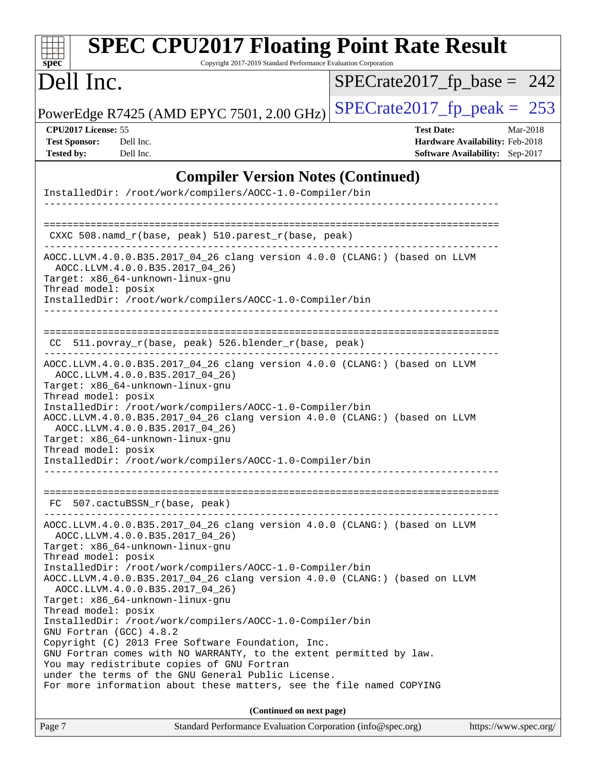| <b>SPEC CPU2017 Floating Point Rate Result</b><br>Copyright 2017-2019 Standard Performance Evaluation Corporation<br>$spec^*$                                                                                                                                                                                                                                                                                                                                                                                                                                                                                                                                                                                                                                                                                   |                                                                                                     |
|-----------------------------------------------------------------------------------------------------------------------------------------------------------------------------------------------------------------------------------------------------------------------------------------------------------------------------------------------------------------------------------------------------------------------------------------------------------------------------------------------------------------------------------------------------------------------------------------------------------------------------------------------------------------------------------------------------------------------------------------------------------------------------------------------------------------|-----------------------------------------------------------------------------------------------------|
| Dell Inc.                                                                                                                                                                                                                                                                                                                                                                                                                                                                                                                                                                                                                                                                                                                                                                                                       | $SPECrate2017_fp\_base = 242$                                                                       |
| PowerEdge R7425 (AMD EPYC 7501, 2.00 GHz)                                                                                                                                                                                                                                                                                                                                                                                                                                                                                                                                                                                                                                                                                                                                                                       | $SPECTate2017$ _fp_peak = 253                                                                       |
| CPU2017 License: 55<br><b>Test Sponsor:</b><br>Dell Inc.<br><b>Tested by:</b><br>Dell Inc.                                                                                                                                                                                                                                                                                                                                                                                                                                                                                                                                                                                                                                                                                                                      | <b>Test Date:</b><br>Mar-2018<br>Hardware Availability: Feb-2018<br>Software Availability: Sep-2017 |
| <b>Compiler Version Notes (Continued)</b>                                                                                                                                                                                                                                                                                                                                                                                                                                                                                                                                                                                                                                                                                                                                                                       |                                                                                                     |
| InstalledDir: /root/work/compilers/AOCC-1.0-Compiler/bin                                                                                                                                                                                                                                                                                                                                                                                                                                                                                                                                                                                                                                                                                                                                                        |                                                                                                     |
| CXXC $508.namd_r(base, peak) 510.parest_r(base, peak)$                                                                                                                                                                                                                                                                                                                                                                                                                                                                                                                                                                                                                                                                                                                                                          |                                                                                                     |
| AOCC.LLVM.4.0.0.B35.2017_04_26 clang version 4.0.0 (CLANG:) (based on LLVM<br>AOCC.LLVM.4.0.0.B35.2017_04_26)<br>Target: x86 64-unknown-linux-gnu<br>Thread model: posix<br>InstalledDir: /root/work/compilers/AOCC-1.0-Compiler/bin                                                                                                                                                                                                                                                                                                                                                                                                                                                                                                                                                                            |                                                                                                     |
| 511.povray_r(base, peak) 526.blender_r(base, peak)<br>CC.                                                                                                                                                                                                                                                                                                                                                                                                                                                                                                                                                                                                                                                                                                                                                       |                                                                                                     |
| AOCC.LLVM.4.0.0.B35.2017_04_26 clang version 4.0.0 (CLANG:) (based on LLVM<br>AOCC.LLVM.4.0.0.B35.2017_04_26)<br>Target: x86_64-unknown-linux-gnu<br>Thread model: posix<br>InstalledDir: /root/work/compilers/AOCC-1.0-Compiler/bin<br>AOCC.LLVM.4.0.0.B35.2017_04_26 clang version 4.0.0 (CLANG:) (based on LLVM<br>AOCC.LLVM.4.0.0.B35.2017_04_26)<br>Target: x86_64-unknown-linux-gnu<br>Thread model: posix<br>InstalledDir: /root/work/compilers/AOCC-1.0-Compiler/bin                                                                                                                                                                                                                                                                                                                                    |                                                                                                     |
| FC 507.cactuBSSN_r(base, peak)                                                                                                                                                                                                                                                                                                                                                                                                                                                                                                                                                                                                                                                                                                                                                                                  |                                                                                                     |
| AOCC.LLVM.4.0.0.B35.2017_04_26 clang version 4.0.0 (CLANG:) (based on LLVM<br>AOCC.LLVM.4.0.0.B35.2017 04 26)<br>Target: x86_64-unknown-linux-gnu<br>Thread model: posix<br>InstalledDir: /root/work/compilers/AOCC-1.0-Compiler/bin<br>AOCC.LLVM.4.0.0.B35.2017_04_26 clang version 4.0.0 (CLANG:) (based on LLVM<br>AOCC.LLVM.4.0.0.B35.2017_04_26)<br>Target: x86_64-unknown-linux-gnu<br>Thread model: posix<br>InstalledDir: /root/work/compilers/AOCC-1.0-Compiler/bin<br>GNU Fortran (GCC) 4.8.2<br>Copyright (C) 2013 Free Software Foundation, Inc.<br>GNU Fortran comes with NO WARRANTY, to the extent permitted by law.<br>You may redistribute copies of GNU Fortran<br>under the terms of the GNU General Public License.<br>For more information about these matters, see the file named COPYING |                                                                                                     |
| (Continued on next page)                                                                                                                                                                                                                                                                                                                                                                                                                                                                                                                                                                                                                                                                                                                                                                                        |                                                                                                     |
| Standard Performance Evaluation Corporation (info@spec.org)<br>Page 7                                                                                                                                                                                                                                                                                                                                                                                                                                                                                                                                                                                                                                                                                                                                           | https://www.spec.org/                                                                               |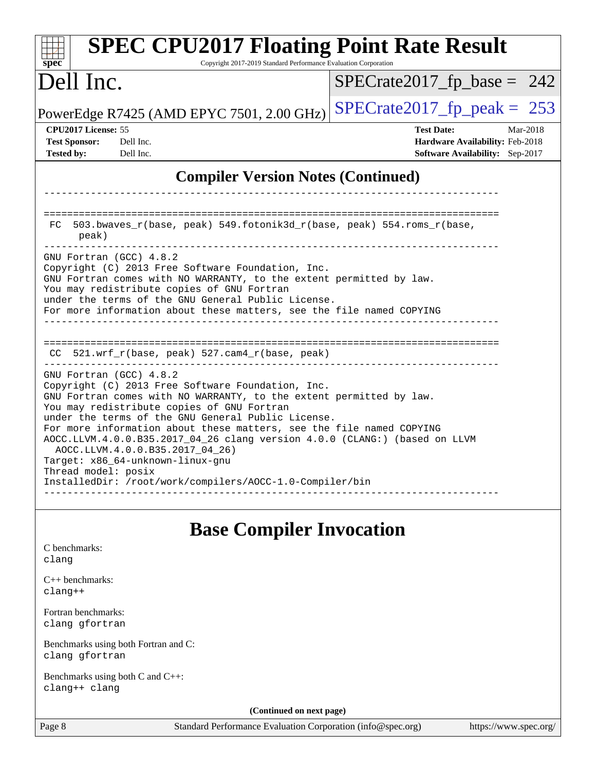| <b>SPEC CPU2017 Floating Point Rate Result</b><br>Copyright 2017-2019 Standard Performance Evaluation Corporation<br>$spec^*$                                                                                                                                                                                                                                                                                                                                                                                                                                           |                                                                                                            |
|-------------------------------------------------------------------------------------------------------------------------------------------------------------------------------------------------------------------------------------------------------------------------------------------------------------------------------------------------------------------------------------------------------------------------------------------------------------------------------------------------------------------------------------------------------------------------|------------------------------------------------------------------------------------------------------------|
| Dell Inc.                                                                                                                                                                                                                                                                                                                                                                                                                                                                                                                                                               | $SPECrate2017_fp\_base = 242$                                                                              |
| PowerEdge R7425 (AMD EPYC 7501, 2.00 GHz)                                                                                                                                                                                                                                                                                                                                                                                                                                                                                                                               | $SPECTate2017$ fp peak = 253                                                                               |
| CPU2017 License: 55<br><b>Test Sponsor:</b><br>Dell Inc.<br><b>Tested by:</b><br>Dell Inc.                                                                                                                                                                                                                                                                                                                                                                                                                                                                              | <b>Test Date:</b><br>Mar-2018<br>Hardware Availability: Feb-2018<br><b>Software Availability:</b> Sep-2017 |
| <b>Compiler Version Notes (Continued)</b>                                                                                                                                                                                                                                                                                                                                                                                                                                                                                                                               |                                                                                                            |
| 503.bwaves_r(base, peak) 549.fotonik3d_r(base, peak) 554.roms_r(base,<br>FC.<br>peak)                                                                                                                                                                                                                                                                                                                                                                                                                                                                                   |                                                                                                            |
| GNU Fortran (GCC) 4.8.2<br>Copyright (C) 2013 Free Software Foundation, Inc.<br>GNU Fortran comes with NO WARRANTY, to the extent permitted by law.<br>You may redistribute copies of GNU Fortran<br>under the terms of the GNU General Public License.<br>For more information about these matters, see the file named COPYING                                                                                                                                                                                                                                         |                                                                                                            |
| CC 521.wrf_r(base, peak) 527.cam4_r(base, peak)                                                                                                                                                                                                                                                                                                                                                                                                                                                                                                                         | _______________________________                                                                            |
| GNU Fortran (GCC) 4.8.2<br>Copyright (C) 2013 Free Software Foundation, Inc.<br>GNU Fortran comes with NO WARRANTY, to the extent permitted by law.<br>You may redistribute copies of GNU Fortran<br>under the terms of the GNU General Public License.<br>For more information about these matters, see the file named COPYING<br>AOCC.LLVM.4.0.0.B35.2017_04_26 clang version 4.0.0 (CLANG:) (based on LLVM<br>AOCC.LLVM.4.0.0.B35.2017_04_26)<br>Target: x86_64-unknown-linux-gnu<br>Thread model: posix<br>InstalledDir: /root/work/compilers/AOCC-1.0-Compiler/bin |                                                                                                            |
| <b>Base Compiler Invocation</b><br>C benchmarks:                                                                                                                                                                                                                                                                                                                                                                                                                                                                                                                        |                                                                                                            |
| clang                                                                                                                                                                                                                                                                                                                                                                                                                                                                                                                                                                   |                                                                                                            |
| $C_{++}$ benchmarks:<br>$clang++$                                                                                                                                                                                                                                                                                                                                                                                                                                                                                                                                       |                                                                                                            |
| Fortran benchmarks:<br>clang gfortran                                                                                                                                                                                                                                                                                                                                                                                                                                                                                                                                   |                                                                                                            |
| Benchmarks using both Fortran and C:<br>clang gfortran                                                                                                                                                                                                                                                                                                                                                                                                                                                                                                                  |                                                                                                            |
| Benchmarks using both C and C++:<br>clang++ clang                                                                                                                                                                                                                                                                                                                                                                                                                                                                                                                       |                                                                                                            |

**(Continued on next page)**

Page 8 Standard Performance Evaluation Corporation [\(info@spec.org\)](mailto:info@spec.org) <https://www.spec.org/>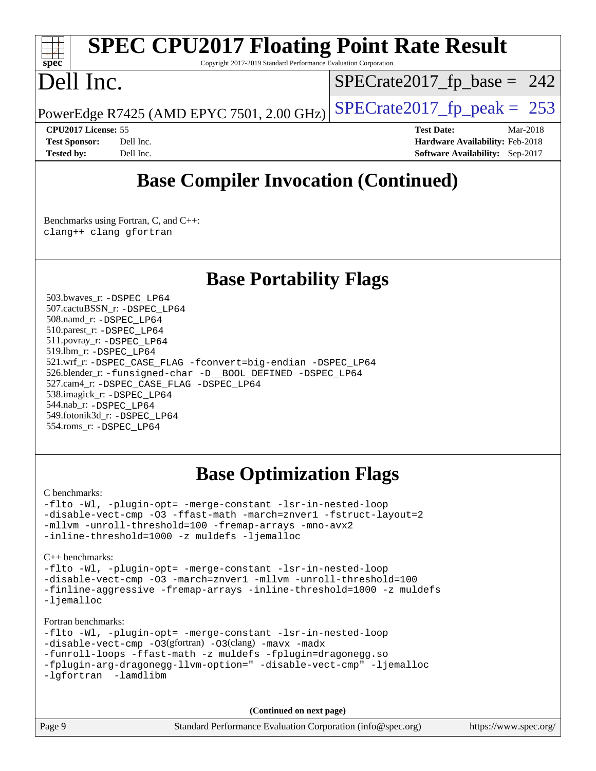## **[spec](http://www.spec.org/)**

## **[SPEC CPU2017 Floating Point Rate Result](http://www.spec.org/auto/cpu2017/Docs/result-fields.html#SPECCPU2017FloatingPointRateResult)**

Copyright 2017-2019 Standard Performance Evaluation Corporation

## Dell Inc.

 $SPECTate2017_fp\_base = 242$ 

PowerEdge R7425 (AMD EPYC 7501, 2.00 GHz)  $\left|$  [SPECrate2017\\_fp\\_peak =](http://www.spec.org/auto/cpu2017/Docs/result-fields.html#SPECrate2017fppeak) 253

**[CPU2017 License:](http://www.spec.org/auto/cpu2017/Docs/result-fields.html#CPU2017License)** 55 **[Test Date:](http://www.spec.org/auto/cpu2017/Docs/result-fields.html#TestDate)** Mar-2018 **[Test Sponsor:](http://www.spec.org/auto/cpu2017/Docs/result-fields.html#TestSponsor)** Dell Inc. **[Hardware Availability:](http://www.spec.org/auto/cpu2017/Docs/result-fields.html#HardwareAvailability)** Feb-2018 **[Tested by:](http://www.spec.org/auto/cpu2017/Docs/result-fields.html#Testedby)** Dell Inc. **[Software Availability:](http://www.spec.org/auto/cpu2017/Docs/result-fields.html#SoftwareAvailability)** Sep-2017

### **[Base Compiler Invocation \(Continued\)](http://www.spec.org/auto/cpu2017/Docs/result-fields.html#BaseCompilerInvocation)**

[Benchmarks using Fortran, C, and C++:](http://www.spec.org/auto/cpu2017/Docs/result-fields.html#BenchmarksusingFortranCandCXX) [clang++](http://www.spec.org/cpu2017/results/res2018q2/cpu2017-20180319-04056.flags.html#user_CC_CXX_FCbase_Fclang3_57a48582e5be507d19b2527b3e7d4f85d9b8669ffc9a8a0dbb9bcf949a918a58bbab411e0c4d14a3922022a3e425a90db94042683824c1806feff4324ca1000d) [clang](http://www.spec.org/cpu2017/results/res2018q2/cpu2017-20180319-04056.flags.html#user_CC_CXX_FCbase_Fclang3) [gfortran](http://www.spec.org/cpu2017/results/res2018q2/cpu2017-20180319-04056.flags.html#user_CC_CXX_FCbase_gfortran)

### **[Base Portability Flags](http://www.spec.org/auto/cpu2017/Docs/result-fields.html#BasePortabilityFlags)**

 503.bwaves\_r: [-DSPEC\\_LP64](http://www.spec.org/cpu2017/results/res2018q2/cpu2017-20180319-04056.flags.html#suite_baseEXTRA_PORTABILITY503_bwaves_r_DSPEC_LP64) 507.cactuBSSN\_r: [-DSPEC\\_LP64](http://www.spec.org/cpu2017/results/res2018q2/cpu2017-20180319-04056.flags.html#suite_baseEXTRA_PORTABILITY507_cactuBSSN_r_DSPEC_LP64) 508.namd\_r: [-DSPEC\\_LP64](http://www.spec.org/cpu2017/results/res2018q2/cpu2017-20180319-04056.flags.html#suite_baseEXTRA_PORTABILITY508_namd_r_DSPEC_LP64) 510.parest\_r: [-DSPEC\\_LP64](http://www.spec.org/cpu2017/results/res2018q2/cpu2017-20180319-04056.flags.html#suite_baseEXTRA_PORTABILITY510_parest_r_DSPEC_LP64) 511.povray\_r: [-DSPEC\\_LP64](http://www.spec.org/cpu2017/results/res2018q2/cpu2017-20180319-04056.flags.html#suite_baseEXTRA_PORTABILITY511_povray_r_DSPEC_LP64) 519.lbm\_r: [-DSPEC\\_LP64](http://www.spec.org/cpu2017/results/res2018q2/cpu2017-20180319-04056.flags.html#suite_baseEXTRA_PORTABILITY519_lbm_r_DSPEC_LP64) 521.wrf\_r: [-DSPEC\\_CASE\\_FLAG](http://www.spec.org/cpu2017/results/res2018q2/cpu2017-20180319-04056.flags.html#b521.wrf_r_baseCPORTABILITY_DSPEC_CASE_FLAG) [-fconvert=big-endian](http://www.spec.org/cpu2017/results/res2018q2/cpu2017-20180319-04056.flags.html#user_baseFPORTABILITY521_wrf_r_F-fconvert:big-endian) [-DSPEC\\_LP64](http://www.spec.org/cpu2017/results/res2018q2/cpu2017-20180319-04056.flags.html#suite_baseEXTRA_PORTABILITY521_wrf_r_DSPEC_LP64) 526.blender\_r: [-funsigned-char](http://www.spec.org/cpu2017/results/res2018q2/cpu2017-20180319-04056.flags.html#user_baseCPORTABILITY526_blender_r_F-funsigned-char) [-D\\_\\_BOOL\\_DEFINED](http://www.spec.org/cpu2017/results/res2018q2/cpu2017-20180319-04056.flags.html#b526.blender_r_baseCXXPORTABILITY_D__BOOL_DEFINED) [-DSPEC\\_LP64](http://www.spec.org/cpu2017/results/res2018q2/cpu2017-20180319-04056.flags.html#suite_baseEXTRA_PORTABILITY526_blender_r_DSPEC_LP64) 527.cam4\_r: [-DSPEC\\_CASE\\_FLAG](http://www.spec.org/cpu2017/results/res2018q2/cpu2017-20180319-04056.flags.html#b527.cam4_r_basePORTABILITY_DSPEC_CASE_FLAG) [-DSPEC\\_LP64](http://www.spec.org/cpu2017/results/res2018q2/cpu2017-20180319-04056.flags.html#suite_baseEXTRA_PORTABILITY527_cam4_r_DSPEC_LP64) 538.imagick\_r: [-DSPEC\\_LP64](http://www.spec.org/cpu2017/results/res2018q2/cpu2017-20180319-04056.flags.html#suite_baseEXTRA_PORTABILITY538_imagick_r_DSPEC_LP64) 544.nab\_r: [-DSPEC\\_LP64](http://www.spec.org/cpu2017/results/res2018q2/cpu2017-20180319-04056.flags.html#suite_baseEXTRA_PORTABILITY544_nab_r_DSPEC_LP64) 549.fotonik3d\_r: [-DSPEC\\_LP64](http://www.spec.org/cpu2017/results/res2018q2/cpu2017-20180319-04056.flags.html#suite_baseEXTRA_PORTABILITY549_fotonik3d_r_DSPEC_LP64) 554.roms\_r: [-DSPEC\\_LP64](http://www.spec.org/cpu2017/results/res2018q2/cpu2017-20180319-04056.flags.html#suite_baseEXTRA_PORTABILITY554_roms_r_DSPEC_LP64)

### **[Base Optimization Flags](http://www.spec.org/auto/cpu2017/Docs/result-fields.html#BaseOptimizationFlags)**

#### [C benchmarks](http://www.spec.org/auto/cpu2017/Docs/result-fields.html#Cbenchmarks):

[-flto](http://www.spec.org/cpu2017/results/res2018q2/cpu2017-20180319-04056.flags.html#user_CCbase_F-flto) [-Wl,](http://www.spec.org/cpu2017/results/res2018q2/cpu2017-20180319-04056.flags.html#user_CCbase_F-Wl_5f669859b7c1a0295edc4f5fd536c381023f180a987810cb5cfa1d9467a27ac14b13770b9732d7618b24fc778f3dfdf68b65521d505fc870281e0142944925a0) [-plugin-opt=](http://www.spec.org/cpu2017/results/res2018q2/cpu2017-20180319-04056.flags.html#user_CCbase_F-plugin-opt_772899571bb6157e4b8feeb3276e6c06dec41c1bbb0aa637c8700742a4baaf7e7b56061e32ae2365a76a44d8c448177ca3ee066cdf7537598ff772fc461942c2) [-merge-constant](http://www.spec.org/cpu2017/results/res2018q2/cpu2017-20180319-04056.flags.html#user_CCbase_F-merge-constant_bdb3ec75d21d5cf0ab1961ebe7105d0ea3b0c6d89a312cf7efc1d107e6c56c92c36b5d564d0702d1e2526f6b92f188b4413eb5a54b1f9e4a41f5a9bfc0233b92) [-lsr-in-nested-loop](http://www.spec.org/cpu2017/results/res2018q2/cpu2017-20180319-04056.flags.html#user_CCbase_F-lsr-in-nested-loop) [-disable-vect-cmp](http://www.spec.org/cpu2017/results/res2018q2/cpu2017-20180319-04056.flags.html#user_CCbase_F-disable-vect-cmp) [-O3](http://www.spec.org/cpu2017/results/res2018q2/cpu2017-20180319-04056.flags.html#user_CCbase_F-O3) [-ffast-math](http://www.spec.org/cpu2017/results/res2018q2/cpu2017-20180319-04056.flags.html#user_CCbase_F-ffast-math) [-march=znver1](http://www.spec.org/cpu2017/results/res2018q2/cpu2017-20180319-04056.flags.html#user_CCbase_march_082ab2c5e8f99f69c47c63adfdc26f9617958cc68d0b5dbfb7aa6935cde4c91d5d9c2fdc24e6781fa8a0299196f2f4ca8e995f825d797de797910507b4251bb3) [-fstruct-layout=2](http://www.spec.org/cpu2017/results/res2018q2/cpu2017-20180319-04056.flags.html#user_CCbase_F-fstruct-layout_a05ec02e17cdf7fe0c3950a6b005251b2b1e5e67af2b5298cf72714730c3d59ba290e75546b10aa22dac074c15ceaca36ae22c62cb51bcb2fbdc9dc4e7e222c4) [-mllvm](http://www.spec.org/cpu2017/results/res2018q2/cpu2017-20180319-04056.flags.html#user_CCbase_F-mllvm_76e3f86ef8d8cc4dfa84cec42d531db351fee284f72cd5d644b5bdbef9c2604296512be6a431d9e19d0523544399ea9dd745afc2fff755a0705d428460dc659e) [-unroll-threshold=100](http://www.spec.org/cpu2017/results/res2018q2/cpu2017-20180319-04056.flags.html#user_CCbase_F-unroll-threshold) [-fremap-arrays](http://www.spec.org/cpu2017/results/res2018q2/cpu2017-20180319-04056.flags.html#user_CCbase_F-fremap-arrays) [-mno-avx2](http://www.spec.org/cpu2017/results/res2018q2/cpu2017-20180319-04056.flags.html#user_CCbase_F-mno-avx2) [-inline-threshold=1000](http://www.spec.org/cpu2017/results/res2018q2/cpu2017-20180319-04056.flags.html#user_CCbase_F-inline-threshold_1daf3e0321a7a0c1ea19068c818f3f119b1e5dfc986cc791557791f4b93536c1546ba0c8585f62303269f504aa232e0ca278e8489928152e32e0752215741730) [-z muldefs](http://www.spec.org/cpu2017/results/res2018q2/cpu2017-20180319-04056.flags.html#user_CCbase_zmuldefs) [-ljemalloc](http://www.spec.org/cpu2017/results/res2018q2/cpu2017-20180319-04056.flags.html#user_CCbase_F-ljemalloc)

#### [C++ benchmarks:](http://www.spec.org/auto/cpu2017/Docs/result-fields.html#CXXbenchmarks)

[-flto](http://www.spec.org/cpu2017/results/res2018q2/cpu2017-20180319-04056.flags.html#user_CXXbase_F-flto) [-Wl,](http://www.spec.org/cpu2017/results/res2018q2/cpu2017-20180319-04056.flags.html#user_CXXbase_F-Wl_5f669859b7c1a0295edc4f5fd536c381023f180a987810cb5cfa1d9467a27ac14b13770b9732d7618b24fc778f3dfdf68b65521d505fc870281e0142944925a0) [-plugin-opt=](http://www.spec.org/cpu2017/results/res2018q2/cpu2017-20180319-04056.flags.html#user_CXXbase_F-plugin-opt_772899571bb6157e4b8feeb3276e6c06dec41c1bbb0aa637c8700742a4baaf7e7b56061e32ae2365a76a44d8c448177ca3ee066cdf7537598ff772fc461942c2) [-merge-constant](http://www.spec.org/cpu2017/results/res2018q2/cpu2017-20180319-04056.flags.html#user_CXXbase_F-merge-constant_bdb3ec75d21d5cf0ab1961ebe7105d0ea3b0c6d89a312cf7efc1d107e6c56c92c36b5d564d0702d1e2526f6b92f188b4413eb5a54b1f9e4a41f5a9bfc0233b92) [-lsr-in-nested-loop](http://www.spec.org/cpu2017/results/res2018q2/cpu2017-20180319-04056.flags.html#user_CXXbase_F-lsr-in-nested-loop) [-disable-vect-cmp](http://www.spec.org/cpu2017/results/res2018q2/cpu2017-20180319-04056.flags.html#user_CXXbase_F-disable-vect-cmp) [-O3](http://www.spec.org/cpu2017/results/res2018q2/cpu2017-20180319-04056.flags.html#user_CXXbase_F-O3) [-march=znver1](http://www.spec.org/cpu2017/results/res2018q2/cpu2017-20180319-04056.flags.html#user_CXXbase_march_082ab2c5e8f99f69c47c63adfdc26f9617958cc68d0b5dbfb7aa6935cde4c91d5d9c2fdc24e6781fa8a0299196f2f4ca8e995f825d797de797910507b4251bb3) [-mllvm](http://www.spec.org/cpu2017/results/res2018q2/cpu2017-20180319-04056.flags.html#user_CXXbase_F-mllvm_76e3f86ef8d8cc4dfa84cec42d531db351fee284f72cd5d644b5bdbef9c2604296512be6a431d9e19d0523544399ea9dd745afc2fff755a0705d428460dc659e) [-unroll-threshold=100](http://www.spec.org/cpu2017/results/res2018q2/cpu2017-20180319-04056.flags.html#user_CXXbase_F-unroll-threshold) [-finline-aggressive](http://www.spec.org/cpu2017/results/res2018q2/cpu2017-20180319-04056.flags.html#user_CXXbase_F-finline-aggressive) [-fremap-arrays](http://www.spec.org/cpu2017/results/res2018q2/cpu2017-20180319-04056.flags.html#user_CXXbase_F-fremap-arrays) [-inline-threshold=1000](http://www.spec.org/cpu2017/results/res2018q2/cpu2017-20180319-04056.flags.html#user_CXXbase_F-inline-threshold_1daf3e0321a7a0c1ea19068c818f3f119b1e5dfc986cc791557791f4b93536c1546ba0c8585f62303269f504aa232e0ca278e8489928152e32e0752215741730) [-z muldefs](http://www.spec.org/cpu2017/results/res2018q2/cpu2017-20180319-04056.flags.html#user_CXXbase_zmuldefs) [-ljemalloc](http://www.spec.org/cpu2017/results/res2018q2/cpu2017-20180319-04056.flags.html#user_CXXbase_F-ljemalloc)

#### [Fortran benchmarks](http://www.spec.org/auto/cpu2017/Docs/result-fields.html#Fortranbenchmarks):

[-flto](http://www.spec.org/cpu2017/results/res2018q2/cpu2017-20180319-04056.flags.html#user_FCbase_F-flto) [-Wl,](http://www.spec.org/cpu2017/results/res2018q2/cpu2017-20180319-04056.flags.html#user_FCbase_F-Wl_5f669859b7c1a0295edc4f5fd536c381023f180a987810cb5cfa1d9467a27ac14b13770b9732d7618b24fc778f3dfdf68b65521d505fc870281e0142944925a0) [-plugin-opt=](http://www.spec.org/cpu2017/results/res2018q2/cpu2017-20180319-04056.flags.html#user_FCbase_F-plugin-opt_772899571bb6157e4b8feeb3276e6c06dec41c1bbb0aa637c8700742a4baaf7e7b56061e32ae2365a76a44d8c448177ca3ee066cdf7537598ff772fc461942c2) [-merge-constant](http://www.spec.org/cpu2017/results/res2018q2/cpu2017-20180319-04056.flags.html#user_FCbase_F-merge-constant_bdb3ec75d21d5cf0ab1961ebe7105d0ea3b0c6d89a312cf7efc1d107e6c56c92c36b5d564d0702d1e2526f6b92f188b4413eb5a54b1f9e4a41f5a9bfc0233b92) [-lsr-in-nested-loop](http://www.spec.org/cpu2017/results/res2018q2/cpu2017-20180319-04056.flags.html#user_FCbase_F-lsr-in-nested-loop)

[-disable-vect-cmp](http://www.spec.org/cpu2017/results/res2018q2/cpu2017-20180319-04056.flags.html#user_FCbase_F-disable-vect-cmp) [-O3](http://www.spec.org/cpu2017/results/res2018q2/cpu2017-20180319-04056.flags.html#user_FCbase_Olevel-gcc_2a8c613e11e2962ae78d693398304d6f1c12fa10320380cff05dd109643c60bb04214353a55f02d8022371d19f6dd940085da69c3a4516b2b7029e64f867e782)(gfortran) [-O3](http://www.spec.org/cpu2017/results/res2018q2/cpu2017-20180319-04056.flags.html#user_FCbase_F-O3)(clang) [-mavx](http://www.spec.org/cpu2017/results/res2018q2/cpu2017-20180319-04056.flags.html#user_FCbase_F-mavx) [-madx](http://www.spec.org/cpu2017/results/res2018q2/cpu2017-20180319-04056.flags.html#user_FCbase_F-madx)

[-funroll-loops](http://www.spec.org/cpu2017/results/res2018q2/cpu2017-20180319-04056.flags.html#user_FCbase_F-funroll-loops) [-ffast-math](http://www.spec.org/cpu2017/results/res2018q2/cpu2017-20180319-04056.flags.html#user_FCbase_F-ffast-math) [-z muldefs](http://www.spec.org/cpu2017/results/res2018q2/cpu2017-20180319-04056.flags.html#user_FCbase_zmuldefs) [-fplugin=dragonegg.so](http://www.spec.org/cpu2017/results/res2018q2/cpu2017-20180319-04056.flags.html#user_FCbase_F-fpluginDragonEgg)

[-fplugin-arg-dragonegg-llvm-option="](http://www.spec.org/cpu2017/results/res2018q2/cpu2017-20180319-04056.flags.html#user_FCbase_F-fplugin-arg-dragonegg-llvm-option_98400a9ab866ed0085f1e7306b6fe3b9aac45e0c6ce6c4c776296af40a6f95ac09a5771072dd0b0cdcb566a3e79e79d2a726fc48d436745311228115dad9979d) [-disable-vect-cmp"](http://www.spec.org/cpu2017/results/res2018q2/cpu2017-20180319-04056.flags.html#user_FCbase_F-dragonegg-llvm-disable-vect-cmp_6cf351a29613b68bfdbd040d3e22ab0ce250093fe1c4f1b0b3e19cc513bf9fe59893782c14402abfbebd018ed2d47d139a1a3c59a802b3eac454540228820b23) [-ljemalloc](http://www.spec.org/cpu2017/results/res2018q2/cpu2017-20180319-04056.flags.html#user_FCbase_F-ljemalloc) [-lgfortran](http://www.spec.org/cpu2017/results/res2018q2/cpu2017-20180319-04056.flags.html#user_FCbase_F-lgfortran_aee53aa7918ae35ea4e5035d616421204ae8a638c05873868b1aa8743e73ef3f738c1d9cddaea8bce7f96e18015ec2f72d6588008f90a113075c46bd34a5e3c3) -lamdlibm

**(Continued on next page)**

| Page 9 | Standard Performance Evaluation Corporation (info@spec.org) | https://www.spec.org/ |
|--------|-------------------------------------------------------------|-----------------------|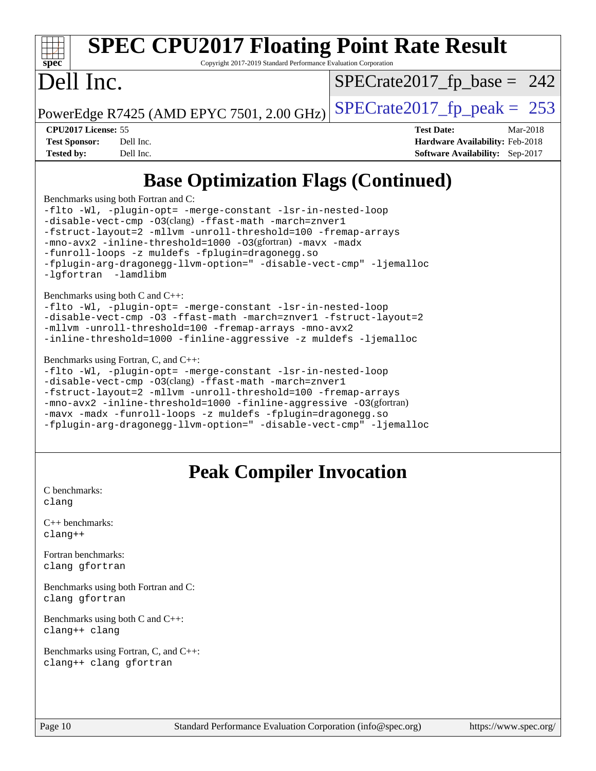#### **[spec](http://www.spec.org/) [SPEC CPU2017 Floating Point Rate Result](http://www.spec.org/auto/cpu2017/Docs/result-fields.html#SPECCPU2017FloatingPointRateResult)** Copyright 2017-2019 Standard Performance Evaluation Corporation Dell Inc. PowerEdge R7425 (AMD EPYC 7501, 2.00 GHz)  $\left|$  [SPECrate2017\\_fp\\_peak =](http://www.spec.org/auto/cpu2017/Docs/result-fields.html#SPECrate2017fppeak) 253  $SPECTate2017_fp\_base = 242$ **[CPU2017 License:](http://www.spec.org/auto/cpu2017/Docs/result-fields.html#CPU2017License)** 55 **[Test Date:](http://www.spec.org/auto/cpu2017/Docs/result-fields.html#TestDate)** Mar-2018 **[Test Sponsor:](http://www.spec.org/auto/cpu2017/Docs/result-fields.html#TestSponsor)** Dell Inc. **[Hardware Availability:](http://www.spec.org/auto/cpu2017/Docs/result-fields.html#HardwareAvailability)** Feb-2018 **[Tested by:](http://www.spec.org/auto/cpu2017/Docs/result-fields.html#Testedby)** Dell Inc. **[Software Availability:](http://www.spec.org/auto/cpu2017/Docs/result-fields.html#SoftwareAvailability)** Sep-2017 **[Base Optimization Flags \(Continued\)](http://www.spec.org/auto/cpu2017/Docs/result-fields.html#BaseOptimizationFlags)** [Benchmarks using both Fortran and C](http://www.spec.org/auto/cpu2017/Docs/result-fields.html#BenchmarksusingbothFortranandC): [-flto](http://www.spec.org/cpu2017/results/res2018q2/cpu2017-20180319-04056.flags.html#user_CC_FCbase_F-flto) [-Wl,](http://www.spec.org/cpu2017/results/res2018q2/cpu2017-20180319-04056.flags.html#user_CC_FCbase_F-Wl_5f669859b7c1a0295edc4f5fd536c381023f180a987810cb5cfa1d9467a27ac14b13770b9732d7618b24fc778f3dfdf68b65521d505fc870281e0142944925a0) [-plugin-opt=](http://www.spec.org/cpu2017/results/res2018q2/cpu2017-20180319-04056.flags.html#user_CC_FCbase_F-plugin-opt_772899571bb6157e4b8feeb3276e6c06dec41c1bbb0aa637c8700742a4baaf7e7b56061e32ae2365a76a44d8c448177ca3ee066cdf7537598ff772fc461942c2) [-merge-constant](http://www.spec.org/cpu2017/results/res2018q2/cpu2017-20180319-04056.flags.html#user_CC_FCbase_F-merge-constant_bdb3ec75d21d5cf0ab1961ebe7105d0ea3b0c6d89a312cf7efc1d107e6c56c92c36b5d564d0702d1e2526f6b92f188b4413eb5a54b1f9e4a41f5a9bfc0233b92) [-lsr-in-nested-loop](http://www.spec.org/cpu2017/results/res2018q2/cpu2017-20180319-04056.flags.html#user_CC_FCbase_F-lsr-in-nested-loop) [-disable-vect-cmp](http://www.spec.org/cpu2017/results/res2018q2/cpu2017-20180319-04056.flags.html#user_CC_FCbase_F-disable-vect-cmp) [-O3](http://www.spec.org/cpu2017/results/res2018q2/cpu2017-20180319-04056.flags.html#user_CC_FCbase_F-O3)(clang) [-ffast-math](http://www.spec.org/cpu2017/results/res2018q2/cpu2017-20180319-04056.flags.html#user_CC_FCbase_F-ffast-math) [-march=znver1](http://www.spec.org/cpu2017/results/res2018q2/cpu2017-20180319-04056.flags.html#user_CC_FCbase_march_082ab2c5e8f99f69c47c63adfdc26f9617958cc68d0b5dbfb7aa6935cde4c91d5d9c2fdc24e6781fa8a0299196f2f4ca8e995f825d797de797910507b4251bb3)

[-fstruct-layout=2](http://www.spec.org/cpu2017/results/res2018q2/cpu2017-20180319-04056.flags.html#user_CC_FCbase_F-fstruct-layout_a05ec02e17cdf7fe0c3950a6b005251b2b1e5e67af2b5298cf72714730c3d59ba290e75546b10aa22dac074c15ceaca36ae22c62cb51bcb2fbdc9dc4e7e222c4) [-mllvm](http://www.spec.org/cpu2017/results/res2018q2/cpu2017-20180319-04056.flags.html#user_CC_FCbase_F-mllvm_76e3f86ef8d8cc4dfa84cec42d531db351fee284f72cd5d644b5bdbef9c2604296512be6a431d9e19d0523544399ea9dd745afc2fff755a0705d428460dc659e) [-unroll-threshold=100](http://www.spec.org/cpu2017/results/res2018q2/cpu2017-20180319-04056.flags.html#user_CC_FCbase_F-unroll-threshold) [-fremap-arrays](http://www.spec.org/cpu2017/results/res2018q2/cpu2017-20180319-04056.flags.html#user_CC_FCbase_F-fremap-arrays)

[-flto](http://www.spec.org/cpu2017/results/res2018q2/cpu2017-20180319-04056.flags.html#user_CC_CXXbase_F-flto) [-Wl,](http://www.spec.org/cpu2017/results/res2018q2/cpu2017-20180319-04056.flags.html#user_CC_CXXbase_F-Wl_5f669859b7c1a0295edc4f5fd536c381023f180a987810cb5cfa1d9467a27ac14b13770b9732d7618b24fc778f3dfdf68b65521d505fc870281e0142944925a0) [-plugin-opt=](http://www.spec.org/cpu2017/results/res2018q2/cpu2017-20180319-04056.flags.html#user_CC_CXXbase_F-plugin-opt_772899571bb6157e4b8feeb3276e6c06dec41c1bbb0aa637c8700742a4baaf7e7b56061e32ae2365a76a44d8c448177ca3ee066cdf7537598ff772fc461942c2) [-merge-constant](http://www.spec.org/cpu2017/results/res2018q2/cpu2017-20180319-04056.flags.html#user_CC_CXXbase_F-merge-constant_bdb3ec75d21d5cf0ab1961ebe7105d0ea3b0c6d89a312cf7efc1d107e6c56c92c36b5d564d0702d1e2526f6b92f188b4413eb5a54b1f9e4a41f5a9bfc0233b92) [-lsr-in-nested-loop](http://www.spec.org/cpu2017/results/res2018q2/cpu2017-20180319-04056.flags.html#user_CC_CXXbase_F-lsr-in-nested-loop)

[-flto](http://www.spec.org/cpu2017/results/res2018q2/cpu2017-20180319-04056.flags.html#user_CC_CXX_FCbase_F-flto) [-Wl,](http://www.spec.org/cpu2017/results/res2018q2/cpu2017-20180319-04056.flags.html#user_CC_CXX_FCbase_F-Wl_5f669859b7c1a0295edc4f5fd536c381023f180a987810cb5cfa1d9467a27ac14b13770b9732d7618b24fc778f3dfdf68b65521d505fc870281e0142944925a0) [-plugin-opt=](http://www.spec.org/cpu2017/results/res2018q2/cpu2017-20180319-04056.flags.html#user_CC_CXX_FCbase_F-plugin-opt_772899571bb6157e4b8feeb3276e6c06dec41c1bbb0aa637c8700742a4baaf7e7b56061e32ae2365a76a44d8c448177ca3ee066cdf7537598ff772fc461942c2) [-merge-constant](http://www.spec.org/cpu2017/results/res2018q2/cpu2017-20180319-04056.flags.html#user_CC_CXX_FCbase_F-merge-constant_bdb3ec75d21d5cf0ab1961ebe7105d0ea3b0c6d89a312cf7efc1d107e6c56c92c36b5d564d0702d1e2526f6b92f188b4413eb5a54b1f9e4a41f5a9bfc0233b92) [-lsr-in-nested-loop](http://www.spec.org/cpu2017/results/res2018q2/cpu2017-20180319-04056.flags.html#user_CC_CXX_FCbase_F-lsr-in-nested-loop)

[-fstruct-layout=2](http://www.spec.org/cpu2017/results/res2018q2/cpu2017-20180319-04056.flags.html#user_CC_CXX_FCbase_F-fstruct-layout_a05ec02e17cdf7fe0c3950a6b005251b2b1e5e67af2b5298cf72714730c3d59ba290e75546b10aa22dac074c15ceaca36ae22c62cb51bcb2fbdc9dc4e7e222c4) [-mllvm](http://www.spec.org/cpu2017/results/res2018q2/cpu2017-20180319-04056.flags.html#user_CC_CXX_FCbase_F-mllvm_76e3f86ef8d8cc4dfa84cec42d531db351fee284f72cd5d644b5bdbef9c2604296512be6a431d9e19d0523544399ea9dd745afc2fff755a0705d428460dc659e) [-unroll-threshold=100](http://www.spec.org/cpu2017/results/res2018q2/cpu2017-20180319-04056.flags.html#user_CC_CXX_FCbase_F-unroll-threshold) [-fremap-arrays](http://www.spec.org/cpu2017/results/res2018q2/cpu2017-20180319-04056.flags.html#user_CC_CXX_FCbase_F-fremap-arrays) [-mno-avx2](http://www.spec.org/cpu2017/results/res2018q2/cpu2017-20180319-04056.flags.html#user_CC_CXX_FCbase_F-mno-avx2) [-inline-threshold=1000](http://www.spec.org/cpu2017/results/res2018q2/cpu2017-20180319-04056.flags.html#user_CC_CXX_FCbase_F-inline-threshold_1daf3e0321a7a0c1ea19068c818f3f119b1e5dfc986cc791557791f4b93536c1546ba0c8585f62303269f504aa232e0ca278e8489928152e32e0752215741730) [-finline-aggressive](http://www.spec.org/cpu2017/results/res2018q2/cpu2017-20180319-04056.flags.html#user_CC_CXX_FCbase_F-finline-aggressive) [-O3](http://www.spec.org/cpu2017/results/res2018q2/cpu2017-20180319-04056.flags.html#user_CC_CXX_FCbase_Olevel-gcc_2a8c613e11e2962ae78d693398304d6f1c12fa10320380cff05dd109643c60bb04214353a55f02d8022371d19f6dd940085da69c3a4516b2b7029e64f867e782)(gfortran) [-mavx](http://www.spec.org/cpu2017/results/res2018q2/cpu2017-20180319-04056.flags.html#user_CC_CXX_FCbase_F-mavx) [-madx](http://www.spec.org/cpu2017/results/res2018q2/cpu2017-20180319-04056.flags.html#user_CC_CXX_FCbase_F-madx) [-funroll-loops](http://www.spec.org/cpu2017/results/res2018q2/cpu2017-20180319-04056.flags.html#user_CC_CXX_FCbase_F-funroll-loops) [-z muldefs](http://www.spec.org/cpu2017/results/res2018q2/cpu2017-20180319-04056.flags.html#user_CC_CXX_FCbase_zmuldefs) [-fplugin=dragonegg.so](http://www.spec.org/cpu2017/results/res2018q2/cpu2017-20180319-04056.flags.html#user_CC_CXX_FCbase_F-fpluginDragonEgg)

[-fplugin-arg-dragonegg-llvm-option="](http://www.spec.org/cpu2017/results/res2018q2/cpu2017-20180319-04056.flags.html#user_CC_CXX_FCbase_F-fplugin-arg-dragonegg-llvm-option_98400a9ab866ed0085f1e7306b6fe3b9aac45e0c6ce6c4c776296af40a6f95ac09a5771072dd0b0cdcb566a3e79e79d2a726fc48d436745311228115dad9979d) [-disable-vect-cmp"](http://www.spec.org/cpu2017/results/res2018q2/cpu2017-20180319-04056.flags.html#user_CC_CXX_FCbase_F-dragonegg-llvm-disable-vect-cmp_6cf351a29613b68bfdbd040d3e22ab0ce250093fe1c4f1b0b3e19cc513bf9fe59893782c14402abfbebd018ed2d47d139a1a3c59a802b3eac454540228820b23) [-ljemalloc](http://www.spec.org/cpu2017/results/res2018q2/cpu2017-20180319-04056.flags.html#user_CC_CXX_FCbase_F-ljemalloc)

[-mllvm](http://www.spec.org/cpu2017/results/res2018q2/cpu2017-20180319-04056.flags.html#user_CC_CXXbase_F-mllvm_76e3f86ef8d8cc4dfa84cec42d531db351fee284f72cd5d644b5bdbef9c2604296512be6a431d9e19d0523544399ea9dd745afc2fff755a0705d428460dc659e) [-unroll-threshold=100](http://www.spec.org/cpu2017/results/res2018q2/cpu2017-20180319-04056.flags.html#user_CC_CXXbase_F-unroll-threshold) [-fremap-arrays](http://www.spec.org/cpu2017/results/res2018q2/cpu2017-20180319-04056.flags.html#user_CC_CXXbase_F-fremap-arrays) [-mno-avx2](http://www.spec.org/cpu2017/results/res2018q2/cpu2017-20180319-04056.flags.html#user_CC_CXXbase_F-mno-avx2)

[-disable-vect-cmp](http://www.spec.org/cpu2017/results/res2018q2/cpu2017-20180319-04056.flags.html#user_CC_CXX_FCbase_F-disable-vect-cmp) [-O3](http://www.spec.org/cpu2017/results/res2018q2/cpu2017-20180319-04056.flags.html#user_CC_CXX_FCbase_F-O3)(clang) [-ffast-math](http://www.spec.org/cpu2017/results/res2018q2/cpu2017-20180319-04056.flags.html#user_CC_CXX_FCbase_F-ffast-math) [-march=znver1](http://www.spec.org/cpu2017/results/res2018q2/cpu2017-20180319-04056.flags.html#user_CC_CXX_FCbase_march_082ab2c5e8f99f69c47c63adfdc26f9617958cc68d0b5dbfb7aa6935cde4c91d5d9c2fdc24e6781fa8a0299196f2f4ca8e995f825d797de797910507b4251bb3)

[-fplugin-arg-dragonegg-llvm-option="](http://www.spec.org/cpu2017/results/res2018q2/cpu2017-20180319-04056.flags.html#user_CC_FCbase_F-fplugin-arg-dragonegg-llvm-option_98400a9ab866ed0085f1e7306b6fe3b9aac45e0c6ce6c4c776296af40a6f95ac09a5771072dd0b0cdcb566a3e79e79d2a726fc48d436745311228115dad9979d) [-disable-vect-cmp"](http://www.spec.org/cpu2017/results/res2018q2/cpu2017-20180319-04056.flags.html#user_CC_FCbase_F-dragonegg-llvm-disable-vect-cmp_6cf351a29613b68bfdbd040d3e22ab0ce250093fe1c4f1b0b3e19cc513bf9fe59893782c14402abfbebd018ed2d47d139a1a3c59a802b3eac454540228820b23) [-ljemalloc](http://www.spec.org/cpu2017/results/res2018q2/cpu2017-20180319-04056.flags.html#user_CC_FCbase_F-ljemalloc)

[-disable-vect-cmp](http://www.spec.org/cpu2017/results/res2018q2/cpu2017-20180319-04056.flags.html#user_CC_CXXbase_F-disable-vect-cmp) [-O3](http://www.spec.org/cpu2017/results/res2018q2/cpu2017-20180319-04056.flags.html#user_CC_CXXbase_F-O3) [-ffast-math](http://www.spec.org/cpu2017/results/res2018q2/cpu2017-20180319-04056.flags.html#user_CC_CXXbase_F-ffast-math) [-march=znver1](http://www.spec.org/cpu2017/results/res2018q2/cpu2017-20180319-04056.flags.html#user_CC_CXXbase_march_082ab2c5e8f99f69c47c63adfdc26f9617958cc68d0b5dbfb7aa6935cde4c91d5d9c2fdc24e6781fa8a0299196f2f4ca8e995f825d797de797910507b4251bb3) [-fstruct-layout=2](http://www.spec.org/cpu2017/results/res2018q2/cpu2017-20180319-04056.flags.html#user_CC_CXXbase_F-fstruct-layout_a05ec02e17cdf7fe0c3950a6b005251b2b1e5e67af2b5298cf72714730c3d59ba290e75546b10aa22dac074c15ceaca36ae22c62cb51bcb2fbdc9dc4e7e222c4)

[-inline-threshold=1000](http://www.spec.org/cpu2017/results/res2018q2/cpu2017-20180319-04056.flags.html#user_CC_CXXbase_F-inline-threshold_1daf3e0321a7a0c1ea19068c818f3f119b1e5dfc986cc791557791f4b93536c1546ba0c8585f62303269f504aa232e0ca278e8489928152e32e0752215741730) [-finline-aggressive](http://www.spec.org/cpu2017/results/res2018q2/cpu2017-20180319-04056.flags.html#user_CC_CXXbase_F-finline-aggressive) [-z muldefs](http://www.spec.org/cpu2017/results/res2018q2/cpu2017-20180319-04056.flags.html#user_CC_CXXbase_zmuldefs) [-ljemalloc](http://www.spec.org/cpu2017/results/res2018q2/cpu2017-20180319-04056.flags.html#user_CC_CXXbase_F-ljemalloc)

[-mno-avx2](http://www.spec.org/cpu2017/results/res2018q2/cpu2017-20180319-04056.flags.html#user_CC_FCbase_F-mno-avx2) [-inline-threshold=1000](http://www.spec.org/cpu2017/results/res2018q2/cpu2017-20180319-04056.flags.html#user_CC_FCbase_F-inline-threshold_1daf3e0321a7a0c1ea19068c818f3f119b1e5dfc986cc791557791f4b93536c1546ba0c8585f62303269f504aa232e0ca278e8489928152e32e0752215741730) [-O3](http://www.spec.org/cpu2017/results/res2018q2/cpu2017-20180319-04056.flags.html#user_CC_FCbase_Olevel-gcc_2a8c613e11e2962ae78d693398304d6f1c12fa10320380cff05dd109643c60bb04214353a55f02d8022371d19f6dd940085da69c3a4516b2b7029e64f867e782)(gfortran) [-mavx](http://www.spec.org/cpu2017/results/res2018q2/cpu2017-20180319-04056.flags.html#user_CC_FCbase_F-mavx) [-madx](http://www.spec.org/cpu2017/results/res2018q2/cpu2017-20180319-04056.flags.html#user_CC_FCbase_F-madx)

[-funroll-loops](http://www.spec.org/cpu2017/results/res2018q2/cpu2017-20180319-04056.flags.html#user_CC_FCbase_F-funroll-loops) [-z muldefs](http://www.spec.org/cpu2017/results/res2018q2/cpu2017-20180319-04056.flags.html#user_CC_FCbase_zmuldefs) [-fplugin=dragonegg.so](http://www.spec.org/cpu2017/results/res2018q2/cpu2017-20180319-04056.flags.html#user_CC_FCbase_F-fpluginDragonEgg)

[C benchmarks](http://www.spec.org/auto/cpu2017/Docs/result-fields.html#Cbenchmarks): [clang](http://www.spec.org/cpu2017/results/res2018q2/cpu2017-20180319-04056.flags.html#user_CCpeak_Fclang3)

[-lgfortran](http://www.spec.org/cpu2017/results/res2018q2/cpu2017-20180319-04056.flags.html#user_CC_FCbase_F-lgfortran_aee53aa7918ae35ea4e5035d616421204ae8a638c05873868b1aa8743e73ef3f738c1d9cddaea8bce7f96e18015ec2f72d6588008f90a113075c46bd34a5e3c3) [-lamdlibm](http://www.spec.org/cpu2017/results/res2018q2/cpu2017-20180319-04056.flags.html#user_CC_FCbase_F-lamdlibm_1db3d84841b8a1b4efe9441895380ccb52ec69ae4c885fce609f880d1f58d8b3c2693ad984247faf1d5c0b0abc492f2987ed2911d4dbfc830003ff87fe5a2273) 

[Benchmarks using both C and C++](http://www.spec.org/auto/cpu2017/Docs/result-fields.html#BenchmarksusingbothCandCXX):

[Benchmarks using Fortran, C, and C++:](http://www.spec.org/auto/cpu2017/Docs/result-fields.html#BenchmarksusingFortranCandCXX)

[C++ benchmarks:](http://www.spec.org/auto/cpu2017/Docs/result-fields.html#CXXbenchmarks) [clang++](http://www.spec.org/cpu2017/results/res2018q2/cpu2017-20180319-04056.flags.html#user_CXXpeak_Fclang3_57a48582e5be507d19b2527b3e7d4f85d9b8669ffc9a8a0dbb9bcf949a918a58bbab411e0c4d14a3922022a3e425a90db94042683824c1806feff4324ca1000d)

[Fortran benchmarks](http://www.spec.org/auto/cpu2017/Docs/result-fields.html#Fortranbenchmarks): [clang](http://www.spec.org/cpu2017/results/res2018q2/cpu2017-20180319-04056.flags.html#user_FCpeak_Fclang3) [gfortran](http://www.spec.org/cpu2017/results/res2018q2/cpu2017-20180319-04056.flags.html#user_FCpeak_gfortran)

[Benchmarks using both Fortran and C](http://www.spec.org/auto/cpu2017/Docs/result-fields.html#BenchmarksusingbothFortranandC): [clang](http://www.spec.org/cpu2017/results/res2018q2/cpu2017-20180319-04056.flags.html#user_CC_FCpeak_Fclang3) [gfortran](http://www.spec.org/cpu2017/results/res2018q2/cpu2017-20180319-04056.flags.html#user_CC_FCpeak_gfortran)

[Benchmarks using both C and C++](http://www.spec.org/auto/cpu2017/Docs/result-fields.html#BenchmarksusingbothCandCXX): [clang++](http://www.spec.org/cpu2017/results/res2018q2/cpu2017-20180319-04056.flags.html#user_CC_CXXpeak_Fclang3_57a48582e5be507d19b2527b3e7d4f85d9b8669ffc9a8a0dbb9bcf949a918a58bbab411e0c4d14a3922022a3e425a90db94042683824c1806feff4324ca1000d) [clang](http://www.spec.org/cpu2017/results/res2018q2/cpu2017-20180319-04056.flags.html#user_CC_CXXpeak_Fclang3)

[Benchmarks using Fortran, C, and C++:](http://www.spec.org/auto/cpu2017/Docs/result-fields.html#BenchmarksusingFortranCandCXX) [clang++](http://www.spec.org/cpu2017/results/res2018q2/cpu2017-20180319-04056.flags.html#user_CC_CXX_FCpeak_Fclang3_57a48582e5be507d19b2527b3e7d4f85d9b8669ffc9a8a0dbb9bcf949a918a58bbab411e0c4d14a3922022a3e425a90db94042683824c1806feff4324ca1000d) [clang](http://www.spec.org/cpu2017/results/res2018q2/cpu2017-20180319-04056.flags.html#user_CC_CXX_FCpeak_Fclang3) [gfortran](http://www.spec.org/cpu2017/results/res2018q2/cpu2017-20180319-04056.flags.html#user_CC_CXX_FCpeak_gfortran)

**[Peak Compiler Invocation](http://www.spec.org/auto/cpu2017/Docs/result-fields.html#PeakCompilerInvocation)**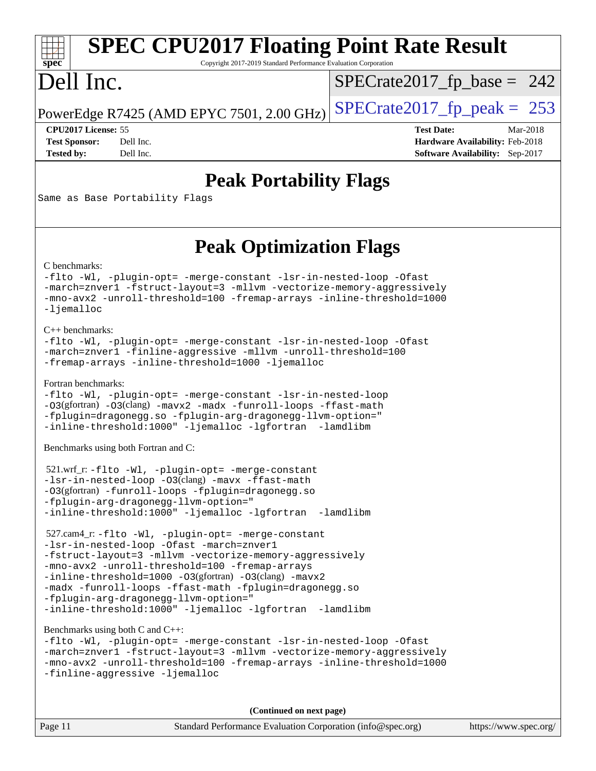# **[SPEC CPU2017 Floating Point Rate Result](http://www.spec.org/auto/cpu2017/Docs/result-fields.html#SPECCPU2017FloatingPointRateResult)**

Copyright 2017-2019 Standard Performance Evaluation Corporation

## Dell Inc.

**[spec](http://www.spec.org/)**

 $SPECTate2017_fp\_base = 242$ 

PowerEdge R7425 (AMD EPYC 7501, 2.00 GHz)  $SPECrate2017_f$  peak = 253

**[CPU2017 License:](http://www.spec.org/auto/cpu2017/Docs/result-fields.html#CPU2017License)** 55 **[Test Date:](http://www.spec.org/auto/cpu2017/Docs/result-fields.html#TestDate)** Mar-2018 **[Test Sponsor:](http://www.spec.org/auto/cpu2017/Docs/result-fields.html#TestSponsor)** Dell Inc. **[Hardware Availability:](http://www.spec.org/auto/cpu2017/Docs/result-fields.html#HardwareAvailability)** Feb-2018 **[Tested by:](http://www.spec.org/auto/cpu2017/Docs/result-fields.html#Testedby)** Dell Inc. **[Software Availability:](http://www.spec.org/auto/cpu2017/Docs/result-fields.html#SoftwareAvailability)** Sep-2017

### **[Peak Portability Flags](http://www.spec.org/auto/cpu2017/Docs/result-fields.html#PeakPortabilityFlags)**

Same as Base Portability Flags

### **[Peak Optimization Flags](http://www.spec.org/auto/cpu2017/Docs/result-fields.html#PeakOptimizationFlags)**

[C benchmarks](http://www.spec.org/auto/cpu2017/Docs/result-fields.html#Cbenchmarks):

```
-flto -Wl, -plugin-opt= -merge-constant -lsr-in-nested-loop -Ofast
-march=znver1 -fstruct-layout=3 -mllvm -vectorize-memory-aggressively
-mno-avx2 -unroll-threshold=100 -fremap-arrays -inline-threshold=1000
-ljemalloc
```
[C++ benchmarks:](http://www.spec.org/auto/cpu2017/Docs/result-fields.html#CXXbenchmarks)

```
-flto -Wl, -plugin-opt= -merge-constant -lsr-in-nested-loop -Ofast
-march=znver1 -finline-aggressive -mllvm -unroll-threshold=100
-fremap-arrays -inline-threshold=1000 -ljemalloc
```
[Fortran benchmarks](http://www.spec.org/auto/cpu2017/Docs/result-fields.html#Fortranbenchmarks):

```
-flto -Wl, -plugin-opt= -merge-constant -lsr-in-nested-loop
-O3(gfortran) -O3(clang) -mavx2 -madx -funroll-loops -ffast-math
-fplugin=dragonegg.so -fplugin-arg-dragonegg-llvm-option="
-inline-threshold:1000" -ljemalloc -lgfortran -lamdlibm
```
[Benchmarks using both Fortran and C](http://www.spec.org/auto/cpu2017/Docs/result-fields.html#BenchmarksusingbothFortranandC):

```
 521.wrf_r: -flto -Wl, -plugin-opt= -merge-constant
-lsr-in-nested-loop -O3(clang) -mavx -ffast-math
-O3(gfortran) -funroll-loops -fplugin=dragonegg.so
-fplugin-arg-dragonegg-llvm-option="
-inline-threshold:1000" -ljemalloc -lgfortran -lamdlibm
```

```
 527.cam4_r: -flto -Wl, -plugin-opt= -merge-constant
-lsr-in-nested-loop -Ofast -march=znver1
-fstruct-layout=3 -mllvm -vectorize-memory-aggressively
-mno-avx2 -unroll-threshold=100 -fremap-arrays
-inline-threshold=1000 -O3(gfortran) -O3(clang) -mavx2
-madx -funroll-loops -ffast-math -fplugin=dragonegg.so
-fplugin-arg-dragonegg-llvm-option="
-inline-threshold:1000" -ljemalloc -lgfortran -lamdlibm
```
[Benchmarks using both C and C++](http://www.spec.org/auto/cpu2017/Docs/result-fields.html#BenchmarksusingbothCandCXX):

```
-flto -Wl, -plugin-opt= -merge-constant -lsr-in-nested-loop -Ofast
-march=znver1 -fstruct-layout=3 -mllvm -vectorize-memory-aggressively
-mno-avx2 -unroll-threshold=100 -fremap-arrays -inline-threshold=1000
-finline-aggressive -ljemalloc
```
**(Continued on next page)**